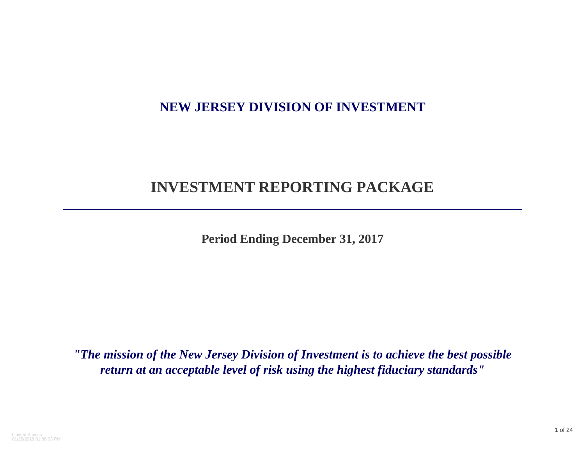# **NEW JERSEY DIVISION OF INVESTMENT**

# **INVESTMENT REPORTING PACKAGE**

**\_\_\_\_\_\_\_\_\_\_\_\_\_\_\_\_\_\_\_\_\_\_\_\_\_\_\_\_\_\_\_\_\_\_\_\_\_\_\_\_\_\_\_\_\_\_\_\_\_\_\_\_\_\_\_\_\_\_\_\_\_\_\_\_\_\_\_\_\_**

**Period Ending December 31, 2017**

*"The mission of the New Jersey Division of Investment is to achieve the best possible return at an acceptable level of risk using the highest fiduciary standards"*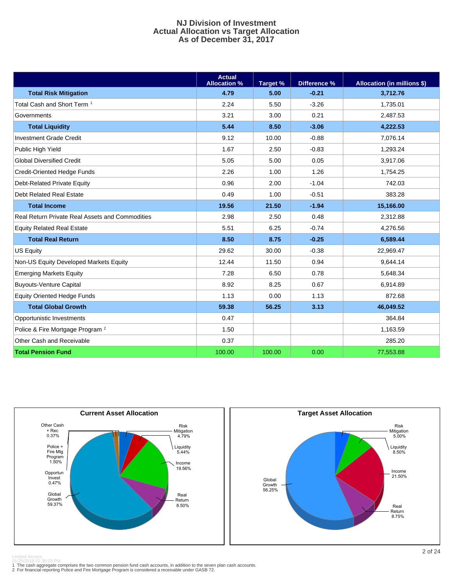#### **NJ Division of Investment Actual Allocation vs Target Allocation As of December 31, 2017**

|                                                        | <b>Actual</b><br><b>Allocation %</b> | Target % | Difference % | <b>Allocation (in millions \$)</b> |
|--------------------------------------------------------|--------------------------------------|----------|--------------|------------------------------------|
| <b>Total Risk Mitigation</b>                           | 4.79                                 | 5.00     | $-0.21$      | 3,712.76                           |
| Total Cash and Short Term <sup>1</sup>                 | 2.24                                 | 5.50     | $-3.26$      | 1,735.01                           |
| Governments                                            | 3.21                                 | 3.00     | 0.21         | 2,487.53                           |
| <b>Total Liquidity</b>                                 | 5.44                                 | 8.50     | $-3.06$      | 4,222.53                           |
| <b>Investment Grade Credit</b>                         | 9.12                                 | 10.00    | $-0.88$      | 7,076.14                           |
| Public High Yield                                      | 1.67                                 | 2.50     | $-0.83$      | 1,293.24                           |
| <b>Global Diversified Credit</b>                       | 5.05                                 | 5.00     | 0.05         | 3,917.06                           |
| Credit-Oriented Hedge Funds                            | 2.26                                 | 1.00     | 1.26         | 1,754.25                           |
| Debt-Related Private Equity                            | 0.96                                 | 2.00     | $-1.04$      | 742.03                             |
| Debt Related Real Estate                               | 0.49                                 | 1.00     | $-0.51$      | 383.28                             |
| <b>Total Income</b>                                    | 19.56                                | 21.50    | $-1.94$      | 15,166.00                          |
| <b>Real Return Private Real Assets and Commodities</b> | 2.98                                 | 2.50     | 0.48         | 2,312.88                           |
| <b>Equity Related Real Estate</b>                      | 5.51                                 | 6.25     | $-0.74$      | 4,276.56                           |
| <b>Total Real Return</b>                               | 8.50                                 | 8.75     | $-0.25$      | 6,589.44                           |
| <b>US Equity</b>                                       | 29.62                                | 30.00    | $-0.38$      | 22,969.47                          |
| Non-US Equity Developed Markets Equity                 | 12.44                                | 11.50    | 0.94         | 9,644.14                           |
| <b>Emerging Markets Equity</b>                         | 7.28                                 | 6.50     | 0.78         | 5,648.34                           |
| <b>Buyouts-Venture Capital</b>                         | 8.92                                 | 8.25     | 0.67         | 6,914.89                           |
| <b>Equity Oriented Hedge Funds</b>                     | 1.13                                 | 0.00     | 1.13         | 872.68                             |
| <b>Total Global Growth</b>                             | 59.38                                | 56.25    | 3.13         | 46,049.52                          |
| Opportunistic Investments                              | 0.47                                 |          |              | 364.84                             |
| Police & Fire Mortgage Program <sup>2</sup>            | 1.50                                 |          |              | 1,163.59                           |
| Other Cash and Receivable                              | 0.37                                 |          |              | 285.20                             |
| <b>Total Pension Fund</b>                              | 100.00                               | 100.00   | 0.00         | 77,553.88                          |





nuudoo<br>1018 01 36 03 PM

01/25/2018 01:36:03 PM<br>1 The cash aggregate comprises the two common pension fund cash accounts, in addition to the seven plan cash accounts.<br>2 For financial reporting Police and Fire Mortgage Program is considered a recei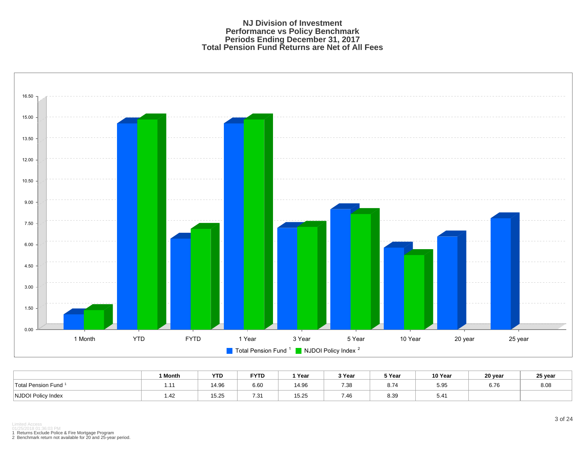#### **NJ Division of Investment Performance vs Policy Benchmark Periods Ending December 31, 2017 Total Pension Fund Returns are Net of All Fees**



|                           | 1 Month        | <b>YTD</b> | <b>FYTD</b> | Year         | 3 Year       | 5 Year | 10 Year | 20 year | 25 year |
|---------------------------|----------------|------------|-------------|--------------|--------------|--------|---------|---------|---------|
| Total Pension Fund        | $\overline{a}$ | 14.96      | 6.60        | 4.96         | 7.38         | 8.74   | 5.95    | 6.76    | 8.08    |
| <b>NJDOI Policy Index</b> | 1.42           | 15.25      | 721<br>. ن  | 1000<br>D.ZC | 7.4c<br>7.4C | 8.39   | 5.41    |         |         |

1 Returns Exclude Police & Fire Mortgage Program 2 Benchmark return not available for 20 and 25-year period.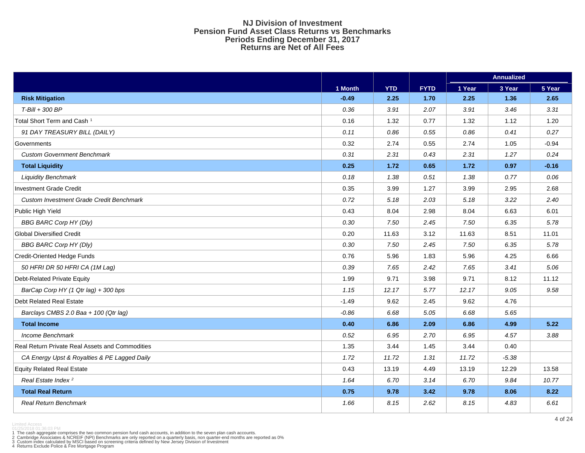#### **NJ Division of Investment Pension Fund Asset Class Returns vs Benchmarks Periods Ending December 31, 2017 Returns are Net of All Fees**

|                                                 |         |            |             | <b>Annualized</b> |         |         |  |
|-------------------------------------------------|---------|------------|-------------|-------------------|---------|---------|--|
|                                                 | 1 Month | <b>YTD</b> | <b>FYTD</b> | 1 Year            | 3 Year  | 5 Year  |  |
| <b>Risk Mitigation</b>                          | $-0.49$ | 2.25       | 1.70        | 2.25              | 1.36    | 2.65    |  |
| T-Bill + 300 BP                                 | 0.36    | 3.91       | 2.07        | 3.91              | 3.46    | 3.31    |  |
| Total Short Term and Cash <sup>1</sup>          | 0.16    | 1.32       | 0.77        | 1.32              | 1.12    | 1.20    |  |
| 91 DAY TREASURY BILL (DAILY)                    | 0.11    | 0.86       | 0.55        | 0.86              | 0.41    | 0.27    |  |
| Governments                                     | 0.32    | 2.74       | 0.55        | 2.74              | 1.05    | $-0.94$ |  |
| <b>Custom Government Benchmark</b>              | 0.31    | 2.31       | 0.43        | 2.31              | 1.27    | 0.24    |  |
| <b>Total Liquidity</b>                          | 0.25    | 1.72       | 0.65        | 1.72              | 0.97    | $-0.16$ |  |
| <b>Liquidity Benchmark</b>                      | 0.18    | 1.38       | 0.51        | 1.38              | 0.77    | 0.06    |  |
| <b>Investment Grade Credit</b>                  | 0.35    | 3.99       | 1.27        | 3.99              | 2.95    | 2.68    |  |
| <b>Custom Investment Grade Credit Benchmark</b> | 0.72    | 5.18       | 2.03        | 5.18              | 3.22    | 2.40    |  |
| Public High Yield                               | 0.43    | 8.04       | 2.98        | 8.04              | 6.63    | 6.01    |  |
| <b>BBG BARC Corp HY (Dly)</b>                   | 0.30    | 7.50       | 2.45        | 7.50              | 6.35    | 5.78    |  |
| <b>Global Diversified Credit</b>                | 0.20    | 11.63      | 3.12        | 11.63             | 8.51    | 11.01   |  |
| <b>BBG BARC Corp HY (Dly)</b>                   | 0.30    | 7.50       | 2.45        | 7.50              | 6.35    | 5.78    |  |
| <b>Credit-Oriented Hedge Funds</b>              | 0.76    | 5.96       | 1.83        | 5.96              | 4.25    | 6.66    |  |
| 50 HFRI DR 50 HFRI CA (1M Lag)                  | 0.39    | 7.65       | 2.42        | 7.65              | 3.41    | 5.06    |  |
| Debt-Related Private Equity                     | 1.99    | 9.71       | 3.98        | 9.71              | 8.12    | 11.12   |  |
| BarCap Corp HY (1 Qtr lag) + 300 bps            | 1.15    | 12.17      | 5.77        | 12.17             | 9.05    | 9.58    |  |
| <b>Debt Related Real Estate</b>                 | $-1.49$ | 9.62       | 2.45        | 9.62              | 4.76    |         |  |
| Barclays CMBS 2.0 Baa + 100 (Qtr lag)           | $-0.86$ | 6.68       | 5.05        | 6.68              | 5.65    |         |  |
| <b>Total Income</b>                             | 0.40    | 6.86       | 2.09        | 6.86              | 4.99    | 5.22    |  |
| Income Benchmark                                | 0.52    | 6.95       | 2.70        | 6.95              | 4.57    | 3.88    |  |
| Real Return Private Real Assets and Commodities | 1.35    | 3.44       | 1.45        | 3.44              | 0.40    |         |  |
| CA Energy Upst & Royalties & PE Lagged Daily    | 1.72    | 11.72      | 1.31        | 11.72             | $-5.38$ |         |  |
| <b>Equity Related Real Estate</b>               | 0.43    | 13.19      | 4.49        | 13.19             | 12.29   | 13.58   |  |
| Real Estate Index <sup>2</sup>                  | 1.64    | 6.70       | 3.14        | 6.70              | 9.84    | 10.77   |  |
| <b>Total Real Return</b>                        | 0.75    | 9.78       | 3.42        | 9.78              | 8.06    | 8.22    |  |
| <b>Real Return Benchmark</b>                    | 1.66    | 8.15       | 2.62        | 8.15              | 4.83    | 6.61    |  |

1 The cash aggregate comprises the two common pension fund cash accounts, in addition to the seven plan cash accounts.<br>2 Cambridge Associates & NCREIF (NPI) Benchmarks are only reported on a quarterly basis, non quarter-en

Limited Access 01/25/2018 01:36:03 PM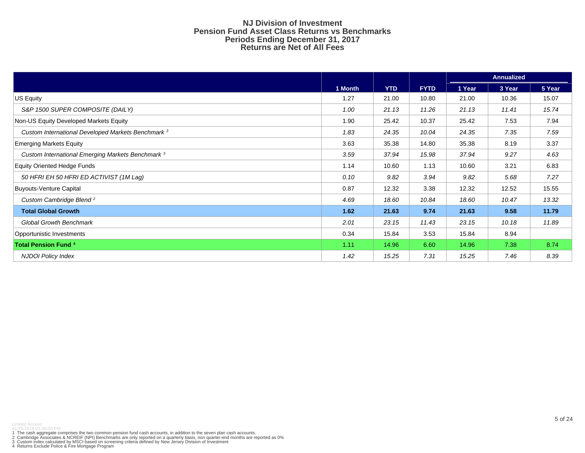#### **NJ Division of Investment Pension Fund Asset Class Returns vs Benchmarks Periods Ending December 31, 2017 Returns are Net of All Fees**

|                                                               |         |            |             | <b>Annualized</b> |        |        |  |  |  |
|---------------------------------------------------------------|---------|------------|-------------|-------------------|--------|--------|--|--|--|
|                                                               | 1 Month | <b>YTD</b> | <b>FYTD</b> | 1 Year            | 3 Year | 5 Year |  |  |  |
| US Equity                                                     | 1.27    | 21.00      | 10.80       | 21.00             | 10.36  | 15.07  |  |  |  |
| S&P 1500 SUPER COMPOSITE (DAILY)                              | 1.00    | 21.13      | 11.26       | 21.13             | 11.41  | 15.74  |  |  |  |
| Non-US Equity Developed Markets Equity                        | 1.90    | 25.42      | 10.37       | 25.42             | 7.53   | 7.94   |  |  |  |
| Custom International Developed Markets Benchmark <sup>3</sup> | 1.83    | 24.35      | 10.04       | 24.35             | 7.35   | 7.59   |  |  |  |
| <b>Emerging Markets Equity</b>                                | 3.63    | 35.38      | 14.80       | 35.38             | 8.19   | 3.37   |  |  |  |
| Custom International Emerging Markets Benchmark 3             | 3.59    | 37.94      | 15.98       | 37.94             | 9.27   | 4.63   |  |  |  |
| <b>Equity Oriented Hedge Funds</b>                            | 1.14    | 10.60      | 1.13        | 10.60             | 3.21   | 6.83   |  |  |  |
| 50 HFRI EH 50 HFRI ED ACTIVIST (1M Lag)                       | 0.10    | 9.82       | 3.94        | 9.82              | 5.68   | 7.27   |  |  |  |
| <b>Buyouts-Venture Capital</b>                                | 0.87    | 12.32      | 3.38        | 12.32             | 12.52  | 15.55  |  |  |  |
| Custom Cambridge Blend <sup>2</sup>                           | 4.69    | 18.60      | 10.84       | 18.60             | 10.47  | 13.32  |  |  |  |
| <b>Total Global Growth</b>                                    | 1.62    | 21.63      | 9.74        | 21.63             | 9.58   | 11.79  |  |  |  |
| <b>Global Growth Benchmark</b>                                | 2.01    | 23.15      | 11.43       | 23.15             | 10.18  | 11.89  |  |  |  |
| Opportunistic Investments                                     | 0.34    | 15.84      | 3.53        | 15.84             | 8.94   |        |  |  |  |
| <b>Total Pension Fund 4</b>                                   | 1.11    | 14.96      | 6.60        | 14.96             | 7.38   | 8.74   |  |  |  |
| <b>NJDOI Policy Index</b>                                     | 1.42    | 15.25      | 7.31        | 15.25             | 7.46   | 8.39   |  |  |  |

1 The cash aggregate comprises the two common pension fund cash accounts, in addition to the seven plan cash accounts.<br>2 Cambridge Associates & NCREIF (NPI) Benchmarks are only reported on a quarterly basis, non quarter-en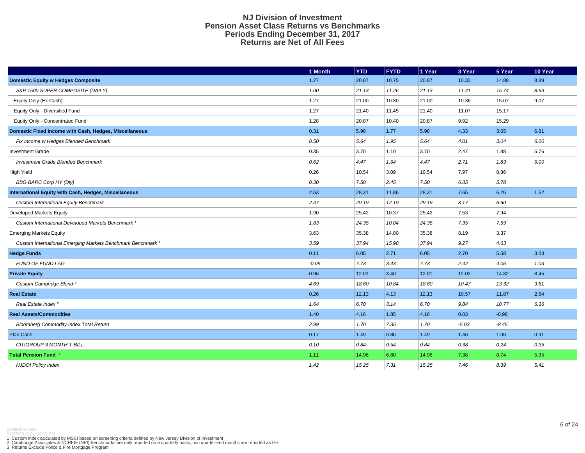#### **NJ Division of Investment Pension Asset Class Returns vs Benchmarks Periods Ending December 31, 2017 Returns are Net of All Fees**

|                                                                        | 1 Month | <b>YTD</b> | <b>FYTD</b> | 1 Year | 3 Year         | 5 Year  | 10 Year |
|------------------------------------------------------------------------|---------|------------|-------------|--------|----------------|---------|---------|
| <b>Domestic Equity w Hedges Composite</b>                              | 1.27    | 20.87      | 10.75       | 20.87  | 10.33          | 14.88   | 8.89    |
| S&P 1500 SUPER COMPOSITE (DAILY)                                       | 1.00    | 21.13      | 11.26       | 21.13  | 11.41          | 15.74   | 8.69    |
| Equity Only (Ex Cash)                                                  | 1.27    | 21.00      | 10.80       | 21.00  | 10.36          | 15.07   | 9.07    |
| Equity Only - Diversified Fund                                         | 1.27    | 21.40      | 11.45       | 21.40  | 11.07          | 15.17   |         |
| Equity Only - Concentrated Fund                                        | 1.28    | 20.87      | 10.40       | 20.87  | 9.92           | 15.29   |         |
| Domestic Fixed Income with Cash, Hedges, Miscellaneous                 | 0.31    | 5.98       | $1.77$      | 5.98   | 4.33           | 3.65    | 6.81    |
| Fix Income w Hedges Blended Benchmark                                  | 0.50    | 5.64       | 1.95        | 5.64   | 4.01           | 3.04    | 6.00    |
| <b>Investment Grade</b>                                                | 0.35    | 3.70       | 1.10        | 3.70   | 2.47           | 1.88    | 5.76    |
| <b>Investment Grade Blended Benchmark</b>                              | 0.62    | 4.47       | 1.64        | 4.47   | 2.71           | 1.83    | 6.00    |
| <b>High Yield</b>                                                      | 0.26    | 10.54      | 3.09        | 10.54  | 7.97           | 8.86    |         |
| <b>BBG BARC Corp HY (Dly)</b>                                          | 0.30    | 7.50       | 2.45        | 7.50   | 6.35           | 5.78    |         |
| International Equity with Cash, Hedges, Miscellaneous                  | 2.53    | 28.31      | 11.86       | 28.31  | 7.65           | 6.26    | 1.52    |
| <b>Custom International Equity Benchmark</b>                           | 2.47    | 29.19      | 12.19       | 29.19  | 8.17           | 6.60    |         |
| Developed Markets Equity                                               | 1.90    | 25.42      | 10.37       | 25.42  | 7.53           | 7.94    |         |
| Custom International Developed Markets Benchmark <sup>1</sup>          | 1.83    | 24.35      | 10.04       | 24.35  | 7.35           | 7.59    |         |
| <b>Emerging Markets Equity</b>                                         | 3.63    | 35.38      | 14.80       | 35.38  | 8.19           | 3.37    |         |
| Custom International Emerging Markets Benchmark Benchmark <sup>1</sup> | 3.59    | 37.94      | 15.98       | 37.94  | 9.27           | 4.63    |         |
| <b>Hedge Funds</b>                                                     | 0.11    | 6.05       | 2.71        | 6.05   | 2.70           | 5.58    | 3.03    |
| <b>FUND OF FUND LAG</b>                                                | $-0.05$ | 7.73       | 3.43        | 7.73   | 2.42           | 4.06    | 1.03    |
| <b>Private Equity</b>                                                  | 0.96    | 12.01      | 3.40        | 12.01  | 12.02          | 14.82   | 8.45    |
| Custom Cambridge Blend <sup>2</sup>                                    | 4.69    | 18.60      | 10.84       | 18.60  | 10.47          | 13.32   | 9.61    |
| <b>Real Estate</b>                                                     | 0.26    | 12.13      | 4.13        | 12.13  | 10.57          | 11.87   | 2.64    |
| Real Estate Index <sup>2</sup>                                         | 1.64    | 6.70       | 3.14        | 6.70   | 9.84           | 10.77   | 6.36    |
| <b>Real Assets/Commodities</b>                                         | 1.40    | 4.16       | 1.85        | 4.16   | $ 0.03\rangle$ | $-0.98$ |         |
| <b>Bloomberg Commodity Index Total Return</b>                          | 2.99    | 1.70       | 7.35        | 1.70   | $-5.03$        | $-8.45$ |         |
| Plan Cash                                                              | 0.17    | 1.49       | 0.86        | 1.49   | 1.46           | 1.06    | 0.91    |
| CITIGROUP 3 MONTH T-BILL                                               | 0.10    | 0.84       | 0.54        | 0.84   | 0.38           | 0.24    | 0.35    |
| Total Pension Fund 3                                                   | 1.11    | 14.96      | 6.60        | 14.96  | 7.38           | 8.74    | 5.95    |
| <b>NJDOI Policy Index</b>                                              | 1.42    | 15.25      | 7.31        | 15.25  | 7.46           | 8.39    | 5.41    |

Limited Access<br>1 Custom index calculated by MSCI based on screening criteria defined by New Jersey Division of Investment<br>2 Cambridge Associates & NCREIF (NP!) Benchmarks are only reported on a quarterly basis, non quarte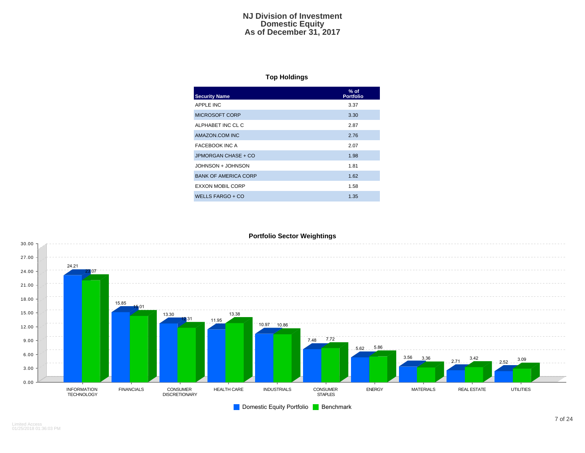#### **NJ Division of Investment Domestic Equity As of December 31, 2017**

## **Top Holdings**

| <b>Security Name</b>        | $%$ of<br><b>Portfolio</b> |
|-----------------------------|----------------------------|
| APPLE INC                   | 3.37                       |
| MICROSOFT CORP              | 3.30                       |
| ALPHABET INC CL C           | 2.87                       |
| AMAZON.COM INC              | 2.76                       |
| <b>FACEBOOK INC A</b>       | 2.07                       |
| JPMORGAN CHASE + CO         | 1.98                       |
| JOHNSON + JOHNSON           | 1.81                       |
| <b>BANK OF AMERICA CORP</b> | 1.62                       |
| EXXON MOBIL CORP            | 1.58                       |
| WELLS FARGO + CO            | 1.35                       |

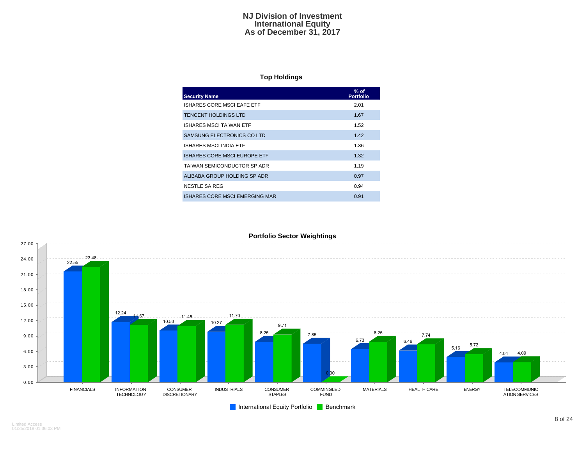#### **NJ Division of Investment International Equity As of December 31, 2017**

## **Top Holdings**

| <b>Security Name</b>           | $%$ of<br><b>Portfolio</b> |
|--------------------------------|----------------------------|
| ISHARES CORE MSCI EAFE ETF     | 2.01                       |
| <b>TENCENT HOLDINGS LTD</b>    | 1.67                       |
| ISHARES MSCI TAIWAN ETF        | 1.52                       |
| SAMSUNG ELECTRONICS CO LTD     | 1.42                       |
| ISHARES MSCI INDIA ETF         | 1.36                       |
| ISHARES CORE MSCI EUROPE ETF   | 1.32                       |
| TAIWAN SEMICONDUCTOR SP ADR    | 1.19                       |
| ALIBABA GROUP HOLDING SP ADR   | 0.97                       |
| NESTLE SA REG                  | 0.94                       |
| ISHARES CORE MSCI EMERGING MAR | 0.91                       |



Limited Access 01/25/2018 01:36:03 PM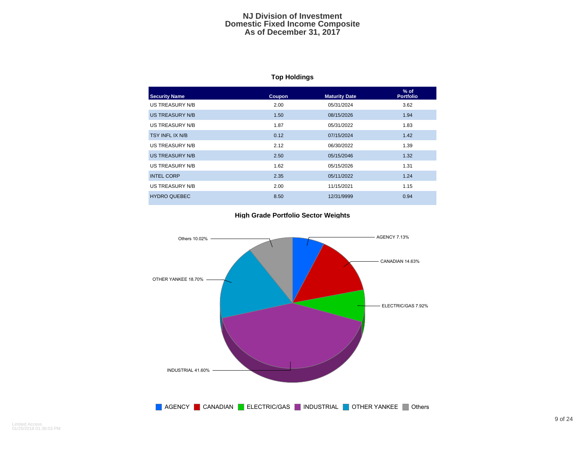#### **NJ Division of Investment Domestic Fixed Income Composite As of December 31, 2017**

# **Top Holdings**

| <b>Security Name</b> | Coupon | <b>Maturity Date</b> | $%$ of<br><b>Portfolio</b> |
|----------------------|--------|----------------------|----------------------------|
| US TREASURY N/B      | 2.00   | 05/31/2024           | 3.62                       |
| US TREASURY N/B      | 1.50   | 08/15/2026           | 1.94                       |
| US TREASURY N/B      | 1.87   | 05/31/2022           | 1.83                       |
| TSY INFL IX N/B      | 0.12   | 07/15/2024           | 1.42                       |
| US TREASURY N/B      | 2.12   | 06/30/2022           | 1.39                       |
| US TREASURY N/B      | 2.50   | 05/15/2046           | 1.32                       |
| US TREASURY N/B      | 1.62   | 05/15/2026           | 1.31                       |
| <b>INTEL CORP</b>    | 2.35   | 05/11/2022           | 1.24                       |
| US TREASURY N/B      | 2.00   | 11/15/2021           | 1.15                       |
| <b>HYDRO QUEBEC</b>  | 8.50   | 12/31/9999           | 0.94                       |

#### **High Grade Portfolio Sector Weights**

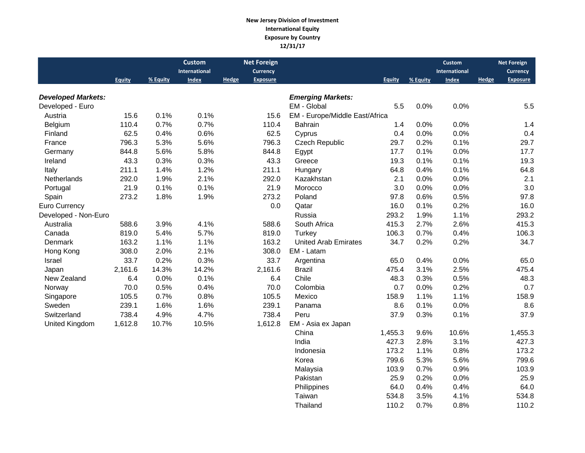#### **New Jersey Division of Investment International Equity Exposure by Country 12/31/17**

|                           |               |          | <b>Custom</b> |       | <b>Net Foreign</b> |                                |               |          | <b>Custom</b> |       | <b>Net Foreign</b> |
|---------------------------|---------------|----------|---------------|-------|--------------------|--------------------------------|---------------|----------|---------------|-------|--------------------|
|                           |               |          | International |       | Currency           |                                |               |          | International |       | <b>Currency</b>    |
|                           | <b>Equity</b> | % Equity | Index         | Hedge | <b>Exposure</b>    |                                | <b>Equity</b> | % Equity | Index         | Hedge | <b>Exposure</b>    |
| <b>Developed Markets:</b> |               |          |               |       |                    | <b>Emerging Markets:</b>       |               |          |               |       |                    |
| Developed - Euro          |               |          |               |       |                    | EM - Global                    | 5.5           | 0.0%     | 0.0%          |       | 5.5                |
| Austria                   | 15.6          | 0.1%     | 0.1%          |       | 15.6               | EM - Europe/Middle East/Africa |               |          |               |       |                    |
| Belgium                   | 110.4         | 0.7%     | 0.7%          |       | 110.4              | <b>Bahrain</b>                 | 1.4           | 0.0%     | 0.0%          |       | 1.4                |
| Finland                   | 62.5          | 0.4%     | 0.6%          |       | 62.5               | Cyprus                         | 0.4           | 0.0%     | 0.0%          |       | 0.4                |
| France                    | 796.3         | 5.3%     | 5.6%          |       | 796.3              | <b>Czech Republic</b>          | 29.7          | 0.2%     | 0.1%          |       | 29.7               |
| Germany                   | 844.8         | 5.6%     | 5.8%          |       | 844.8              | Egypt                          | 17.7          | 0.1%     | 0.0%          |       | 17.7               |
| Ireland                   | 43.3          | 0.3%     | 0.3%          |       | 43.3               | Greece                         | 19.3          | 0.1%     | 0.1%          |       | 19.3               |
| Italy                     | 211.1         | 1.4%     | 1.2%          |       | 211.1              | Hungary                        | 64.8          | 0.4%     | 0.1%          |       | 64.8               |
| Netherlands               | 292.0         | 1.9%     | 2.1%          |       | 292.0              | Kazakhstan                     | 2.1           | 0.0%     | 0.0%          |       | 2.1                |
| Portugal                  | 21.9          | 0.1%     | 0.1%          |       | 21.9               | Morocco                        | 3.0           | 0.0%     | 0.0%          |       | 3.0                |
| Spain                     | 273.2         | 1.8%     | 1.9%          |       | 273.2              | Poland                         | 97.8          | 0.6%     | 0.5%          |       | 97.8               |
| Euro Currency             |               |          |               |       | 0.0                | Qatar                          | 16.0          | 0.1%     | 0.2%          |       | 16.0               |
| Developed - Non-Euro      |               |          |               |       |                    | Russia                         | 293.2         | 1.9%     | 1.1%          |       | 293.2              |
| Australia                 | 588.6         | 3.9%     | 4.1%          |       | 588.6              | South Africa                   | 415.3         | 2.7%     | 2.6%          |       | 415.3              |
| Canada                    | 819.0         | 5.4%     | 5.7%          |       | 819.0              | Turkey                         | 106.3         | 0.7%     | 0.4%          |       | 106.3              |
| Denmark                   | 163.2         | 1.1%     | 1.1%          |       | 163.2              | <b>United Arab Emirates</b>    | 34.7          | 0.2%     | 0.2%          |       | 34.7               |
| Hong Kong                 | 308.0         | 2.0%     | 2.1%          |       | 308.0              | EM - Latam                     |               |          |               |       |                    |
| Israel                    | 33.7          | 0.2%     | 0.3%          |       | 33.7               | Argentina                      | 65.0          | 0.4%     | 0.0%          |       | 65.0               |
| Japan                     | 2,161.6       | 14.3%    | 14.2%         |       | 2,161.6            | <b>Brazil</b>                  | 475.4         | 3.1%     | 2.5%          |       | 475.4              |
| New Zealand               | 6.4           | 0.0%     | 0.1%          |       | 6.4                | Chile                          | 48.3          | 0.3%     | 0.5%          |       | 48.3               |
| Norway                    | 70.0          | 0.5%     | 0.4%          |       | 70.0               | Colombia                       | 0.7           | 0.0%     | 0.2%          |       | 0.7                |
| Singapore                 | 105.5         | 0.7%     | 0.8%          |       | 105.5              | Mexico                         | 158.9         | 1.1%     | 1.1%          |       | 158.9              |
| Sweden                    | 239.1         | 1.6%     | 1.6%          |       | 239.1              | Panama                         | 8.6           | 0.1%     | 0.0%          |       | 8.6                |
| Switzerland               | 738.4         | 4.9%     | 4.7%          |       | 738.4              | Peru                           | 37.9          | 0.3%     | 0.1%          |       | 37.9               |
| <b>United Kingdom</b>     | 1,612.8       | 10.7%    | 10.5%         |       | 1,612.8            | EM - Asia ex Japan             |               |          |               |       |                    |
|                           |               |          |               |       |                    | China                          | 1,455.3       | 9.6%     | 10.6%         |       | 1,455.3            |
|                           |               |          |               |       |                    | India                          | 427.3         | 2.8%     | 3.1%          |       | 427.3              |
|                           |               |          |               |       |                    | Indonesia                      | 173.2         | 1.1%     | 0.8%          |       | 173.2              |
|                           |               |          |               |       |                    | Korea                          | 799.6         | 5.3%     | 5.6%          |       | 799.6              |
|                           |               |          |               |       |                    | Malaysia                       | 103.9         | 0.7%     | 0.9%          |       | 103.9              |
|                           |               |          |               |       |                    | Pakistan                       | 25.9          | 0.2%     | 0.0%          |       | 25.9               |
|                           |               |          |               |       |                    | Philippines                    | 64.0          | 0.4%     | 0.4%          |       | 64.0               |

Taiwan 534.8 3.5% 4.1% 534.8<br>Thailand 110.2 0.7% 0.8% 110.2

Thailand 110.2 0.7% 0.8% 110.2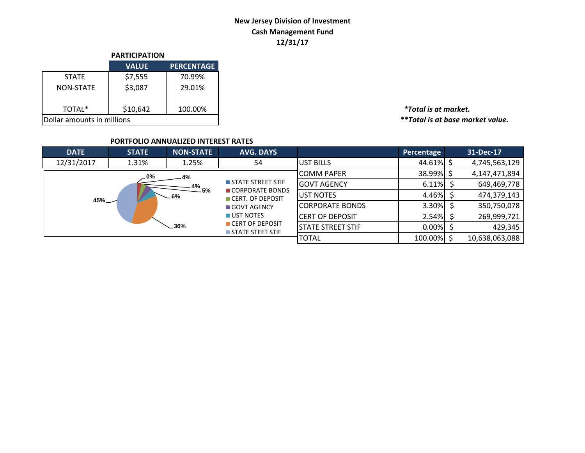# **New Jersey Division of Investment Cash Management Fund 12/31/17**

|                            | <b>PARTICIPATION</b> |                   |  |  |  |  |  |
|----------------------------|----------------------|-------------------|--|--|--|--|--|
|                            | <b>VALUE</b>         | <b>PERCENTAGE</b> |  |  |  |  |  |
| <b>STATE</b>               | \$7,555              | 70.99%            |  |  |  |  |  |
| <b>NON-STATE</b>           | \$3,087              | 29.01%            |  |  |  |  |  |
| TOTAL*                     | \$10,642             | 100.00%           |  |  |  |  |  |
| Dollar amounts in millions |                      |                   |  |  |  |  |  |

TOTAL\* \$10,642 100.00% *\*Total is at market.*  $*$ \*Total is at base market value.

## **PORTFOLIO ANNUALIZED INTEREST RATES**

| <b>DATE</b> | <b>STATE</b>     | <b>NON-STATE</b>  | <b>AVG. DAYS</b>                                          |                          | Percentage | 31-Dec-17      |
|-------------|------------------|-------------------|-----------------------------------------------------------|--------------------------|------------|----------------|
| 12/31/2017  | 1.31%            | 1.25%             | 54                                                        | <b>UST BILLS</b>         | 44.61%     | 4,745,563,129  |
|             | 0% ــ            | 4%                |                                                           | <b>ICOMM PAPER</b>       | 38.99%     | 4,147,471,894  |
|             |                  | $\frac{4\%}{5\%}$ | STATE STREET STIF                                         | <b>GOVT AGENCY</b>       | 6.11%      | 649,469,778    |
|             | $-6%$<br>$45%$ — |                   | CORPORATE BONDS<br>CERT. OF DEPOSIT<br><b>GOVT AGENCY</b> | UST NOTES                | 4.46%      | 474,379,143    |
|             |                  |                   |                                                           | <b>CORPORATE BONDS</b>   | 3.30%      | 350,750,078    |
|             |                  |                   | UST NOTES                                                 | <b>ICERT OF DEPOSIT</b>  | 2.54%      | 269,999,721    |
|             | 36%              |                   | CERT OF DEPOSIT<br>STATE STEET STIF                       | <b>STATE STREET STIF</b> | 0.00%      | 429,345        |
|             |                  |                   |                                                           | <b>TOTAL</b>             | 100.00%    | 10,638,063,088 |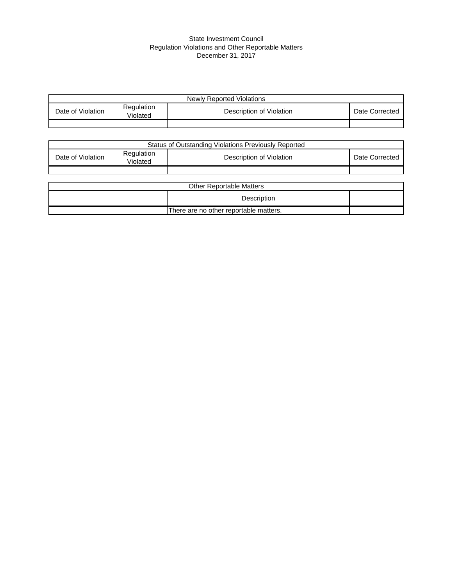#### State Investment Council Regulation Violations and Other Reportable Matters December 31, 2017

| Newly Reported Violations |                        |                          |                |  |  |  |  |  |
|---------------------------|------------------------|--------------------------|----------------|--|--|--|--|--|
| Date of Violation         | Regulation<br>Violated | Description of Violation | Date Corrected |  |  |  |  |  |
|                           |                        |                          |                |  |  |  |  |  |

| Status of Outstanding Violations Previously Reported |                        |                                 |                |  |  |  |  |  |
|------------------------------------------------------|------------------------|---------------------------------|----------------|--|--|--|--|--|
| Date of Violation                                    | Regulation<br>Violated | Description of Violation        | Date Corrected |  |  |  |  |  |
|                                                      |                        |                                 |                |  |  |  |  |  |
|                                                      |                        |                                 |                |  |  |  |  |  |
|                                                      |                        | <b>Other Reportable Matters</b> |                |  |  |  |  |  |
| Description                                          |                        |                                 |                |  |  |  |  |  |
| There are no other reportable matters.               |                        |                                 |                |  |  |  |  |  |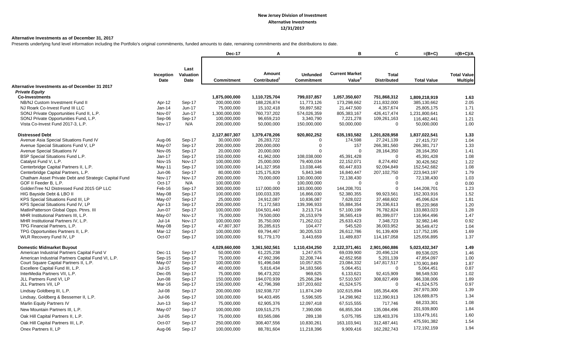#### **Alternative Investments as of December 31, 2017**

Presents underlying fund level information including the Portfolio's original commitments, funded amounts to date, remaining commitments and the distributions to date.

|                                                       |                          |                   | Dec-17            | A                                  |                                      | B                                           | C                                  | $=(B+C)$           | $=(B+C)/A$                            |
|-------------------------------------------------------|--------------------------|-------------------|-------------------|------------------------------------|--------------------------------------|---------------------------------------------|------------------------------------|--------------------|---------------------------------------|
|                                                       |                          |                   |                   |                                    |                                      |                                             |                                    |                    |                                       |
|                                                       |                          | Last              |                   |                                    |                                      |                                             |                                    |                    |                                       |
|                                                       | Inception<br><b>Date</b> | Valuation<br>Date | <b>Commitment</b> | Amount<br>Contributed <sup>1</sup> | <b>Unfunded</b><br><b>Commitment</b> | <b>Current Market</b><br>Value <sup>2</sup> | <b>Total</b><br><b>Distributed</b> | <b>Total Value</b> | <b>Total Value</b><br><b>Multiple</b> |
| Alternative Investments as-of December 31 2017        |                          |                   |                   |                                    |                                      |                                             |                                    |                    |                                       |
| <b>Private Equity</b>                                 |                          |                   |                   |                                    |                                      |                                             |                                    |                    |                                       |
| <b>Co-Investments</b>                                 |                          |                   | 1,875,000,000     | 1,110,725,704                      | 799,037,857                          | 1,057,350,607                               | 751,868,312                        | 1,809,218,919      | 1.63                                  |
| NB/NJ Custom Investment Fund II                       | Apr-12                   | Sep-17            | 200,000,000       | 188,226,874                        | 11,773,126                           | 173,298,662                                 | 211,832,000                        | 385,130,662        | 2.05                                  |
| NJ Roark Co-Invest Fund III LLC                       | Jan-14                   | Jun-17            | 75,000,000        | 15,102,418                         | 59,897,582                           | 21,447,500                                  | 4,357,674                          | 25,805,175         | 1.71                                  |
| SONJ Private Opportunities Fund II, L.P.              | Nov-07                   | $Jun-17$          | 1,300,000,000     | 760,737,202                        | 574,026,359                          | 805,383,167                                 | 426,417,474                        | 1,231,800,641      | 1.62                                  |
| SONJ Private Opportunities Fund, L.P.                 | Sep-06                   | Sep-17            | 100,000,000       | 96,659,210                         | 3,340,790                            | 7,221,278                                   | 109,261,163                        | 116,482,441        | 1.21                                  |
| Vista Co-Invest Fund 2017-3, L.P.                     | Nov-17                   | N/A               | 200,000,000       | 50,000,000                         | 150,000,000                          | 50,000,000                                  | $\mathbf 0$                        | 50,000,000         | 1.00                                  |
| <b>Distressed Debt</b>                                |                          |                   | 2,127,807,307     | 1,379,478,206                      | 920,802,252                          | 635,193,582                                 | 1,201,828,958                      | 1,837,022,541      | 1.33                                  |
| Avenue Asia Special Situations Fund IV                | Aug-06                   | Sep-17            | 30,000,000        | 26,283,722                         | $\Omega$                             | 174,598                                     | 27,241,139                         | 27,415,737         | 1.04                                  |
| Avenue Special Situations Fund V, LP                  | May-07                   | Sep-17            | 200,000,000       | 200,000,000                        | $\mathbf 0$                          | 157                                         | 266,381,560                        | 266,381,717        | 1.33                                  |
| Avenue Special Situations IV                          | Nov-05                   | Sep-17            | 20,000,000        | 20,000,000                         | $\Omega$                             | $\mathbf 0$                                 | 28,164,350                         | 28,164,350         | 1.41                                  |
| BSP Special Situations Fund L.P.                      | Jan-17                   | Sep-17            | 150,000,000       | 41,962,000                         | 108,038,000                          | 45,391,428                                  | $\Omega$                           | 45,391,428         | 1.08                                  |
| Catalyst Fund V, L.P.                                 | <b>Nov-15</b>            | <b>Nov-17</b>     | 100,000,000       | 25,000,000                         | 79,400,034                           | 22,152,071                                  | 8,274,492                          | 30,426,562         | 1.22                                  |
| Centerbridge Capital Partners II, L.P.                | May-11                   | Sep-17            | 100,000,000       | 141,327,958                        | 13,038,446                           | 60,447,833                                  | 92,094,849                         | 152,542,682        | 1.08                                  |
| Centerbridge Capital Partners, L.P.                   | Jun-06                   | Sep-17            | 80,000,000        | 125, 175, 829                      | 5,843,348                            | 16,840,447                                  | 207,102,750                        | 223,943,197        | 1.79                                  |
| Chatham Asset Private Debt and Strategic Capital Fund | <b>Nov-17</b>            | Nov-17            | 200,000,000       | 70,000,000                         | 130,000,000                          | 72,138,430                                  | $\mathbf 0$                        | 72,138,430         | 1.03                                  |
| GOF II Feeder B, L.P.                                 | Oct-17                   | N/A               | 100,000,000       | $\Omega$                           | 100,000,000                          | $\Omega$                                    | $\mathbf 0$                        | $\Omega$           | 0.00                                  |
| GoldenTree NJ Distressed Fund 2015 GP LLC             | Feb-16                   | Sep-17            | 300,000,000       | 117,000,000                        | 183,000,000                          | 144,208,701                                 | $\Omega$                           | 144,208,701        | 1.23                                  |
| HIG Bayside Debt & LBO II                             | May-08                   | Sep-17            | 100,000,000       | 100,033,335                        | 16,866,030                           | 52.380.355                                  | 99,923,561                         | 152,303,916        | 1.52                                  |
| KPS Special Situations Fund III, LP                   | May-07                   | Sep-17            | 25,000,000        | 24,912,087                         | 10,836,087                           | 7,628,022                                   | 37,468,602                         | 45,096,624         | 1.81                                  |
| KPS Special Situations Fund IV, LP                    | Apr-13                   | Sep-17            | 200,000,000       | 71,172,583                         | 139,396,933                          | 55,884,354                                  | 29,336,613                         | 85,220,968         | 1.20                                  |
| MatlinPatterson Global Opps. Ptnrs. III               | <b>Jun-07</b>            | Sep-17            | 100,000,000       | 104,501,440                        | 3,213,714                            | 57,100,199                                  | 76,782,824                         | 133,883,023        | 1.28                                  |
| MHR Institutional Partners III, L.P.                  | May-07                   | <b>Nov-17</b>     | 75,000,000        | 79,500,000                         | 26,153,979                           | 36,565,419                                  | 80,399,077                         | 116,964,496        | 1.47                                  |
| MHR Institutional Partners IV, L.P.                   | $Jul-14$                 | <b>Nov-17</b>     | 100,000,000       | 35,750,000                         | 71,262,012                           | 25,633,423                                  | 7,348,723                          | 32,982,146         | 0.92                                  |
| TPG Financial Partners, L.P.                          | May-08                   | Sep-17            | 47,807,307        | 35,285,615                         | 104,477                              | 545,520                                     | 36,003,952                         | 36,549,472         | 1.04                                  |
| TPG Opportunities Partners II, L.P.                   | Mar-12                   | Sep-17            | 100,000,000       | 69,794,467                         | 30,205,533                           | 26,612,786                                  | 91,139,409                         | 117,752,195        | 1.69                                  |
| WLR Recovery Fund IV, LP                              | Oct-07                   | Sep-17            | 100,000,000       | 91,779,170                         | 3,443,659                            | 11,489,837                                  | 114,167,058                        | 125,656,895        | 1.37                                  |
| <b>Domestic Midmarket Buyout</b>                      |                          |                   | 4,029,660,000     | 3,361,502,561                      | 1,110,434,250                        | 2,122,371,461                               | 2,901,060,886                      | 5,023,432,347      | 1.49                                  |
| American Industrial Partners Capital Fund V           | Dec-11                   | Sep-17            | 50,000,000        | 61,225,238                         | 1,247,675                            | 69,039,900                                  | 20,496,124                         | 89,536,025         | 1.46                                  |
| American Industrial Partners Capital Fund VI, L.P.    | $Sep-15$                 | Sep-17            | 75.000.000        | 47,992,396                         | 32.208.744                           | 42.652.958                                  | 5,201,139                          | 47,854,097         | 1.00                                  |
| Court Square Capital Partners II, L.P.                | May-07                   | Sep-17            | 100,000,000       | 91,496,048                         | 10,057,825                           | 23,084,332                                  | 147,817,517                        | 170.901.849        | 1.87                                  |
| Excellere Capital Fund III, L.P.                      | $Jul-15$                 | Sep-17            | 40,000,000        | 5,816,434                          | 34,183,566                           | 5,064,451                                   | $\mathbf 0$                        | 5,064,451          | 0.87                                  |
| InterMedia Partners VII, L.P.                         | $Dec-05$                 | Sep-17            | 75,000,000        | 96,473,202                         | 969,625                              | 6,133,621                                   | 92,415,909                         | 98,549,530         | 1.02                                  |
| JLL Partners Fund VI, LP                              | <b>Jun-08</b>            | Sep-17            | 150,000,000       | 194,070,939                        | 25,266,284                           | 57,510,507                                  | 308,827,499                        | 366,338,006        | 1.89                                  |
| JLL Partners VII, LP                                  | Mar-16                   | Sep-17            | 150,000,000       | 42,796,398                         | 107,203,602                          | 41,524,575                                  | $\mathbf 0$                        | 41,524,575         | 0.97                                  |
| Lindsay Goldberg III, L.P.                            | $Jul-08$                 | Sep-17            | 200,000,000       | 192,938,737                        | 11,874,249                           | 102,615,894                                 | 165,354,406                        | 267,970,300        | 1.39                                  |
| Lindsay, Goldberg & Bessemer II, L.P.                 | $Jul-06$                 | Sep-17            | 100,000,000       | 94,403,495                         | 5,596,505                            | 14,298,962                                  | 112,390,913                        | 126,689,875        | 1.34                                  |
| <b>Marlin Equity Partners IV</b>                      | Jun-13                   | Sep-17            | 75,000,000        | 62,905,376                         | 12,097,418                           | 67,515,555                                  | 717,746                            | 68,233,301         | 1.08                                  |
| New Mountain Partners III, L.P.                       | May-07                   | Sep-17            | 100,000,000       | 109,515,275                        | 7,390,006                            | 66,855,304                                  | 135,084,496                        | 201,939,800        | 1.84                                  |
| Oak Hill Capital Partners II, L.P.                    | $Jul-05$                 | Sep-17            | 75,000,000        | 83,565,086                         | 289,138                              | 5,075,785                                   | 128,403,376                        | 133,479,161        | 1.60                                  |
| Oak Hill Capital Partners III, L.P.                   | Oct-07                   | Sep-17            | 250,000,000       | 308,407,556                        | 10,830,261                           | 163,103,941                                 | 312,487,441                        | 475,591,382        | 1.54                                  |
| Onex Partners II, LP                                  | Aug-06                   | Sep-17            | 100,000,000       | 88,781,604                         | 11,218,396                           | 9,909,416                                   | 162,282,743                        | 172, 192, 159      | 1.94                                  |
|                                                       |                          |                   |                   |                                    |                                      |                                             |                                    |                    |                                       |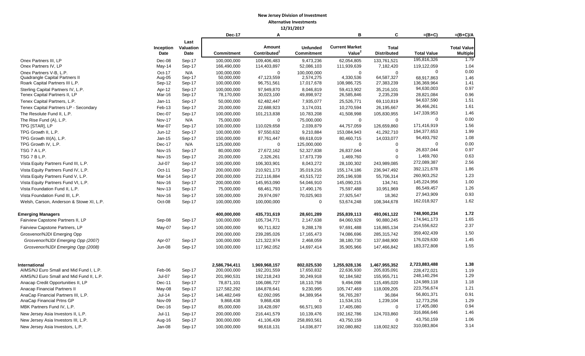|                                                                     |                  |                  | Dec-17                       | Α                            |                           | в                           | C                            | $=(B+C)$                  | $=(B+C)/A$         |
|---------------------------------------------------------------------|------------------|------------------|------------------------------|------------------------------|---------------------------|-----------------------------|------------------------------|---------------------------|--------------------|
|                                                                     |                  | Last             |                              |                              |                           |                             |                              |                           |                    |
|                                                                     | Inception        | Valuation        |                              | Amount                       | <b>Unfunded</b>           | <b>Current Market</b>       | <b>Total</b>                 |                           | <b>Total Value</b> |
|                                                                     | Date             | Date             | Commitment                   | Contributed <sup>1</sup>     | Commitment                | Value <sup>2</sup>          | <b>Distributed</b>           | <b>Total Value</b>        | <b>Multiple</b>    |
| Onex Partners III, LP                                               | Dec-08           | Sep-17           | 100,000,000                  | 109,406,483                  | 9,473,236                 | 62,054,805                  | 133,761,521                  | 195,816,326               | 1.79               |
| Onex Partners IV, LP                                                | May-14           | Sep-17           | 166,490,000                  | 114,403,897                  | 52,086,103                | 111,939,639                 | 7,182,420                    | 119,122,059               | 1.04               |
| Onex Partners V-B, L.P.                                             | Oct-17           | N/A              | 100,000,000                  | $\Omega$                     | 100,000,000               | $\mathbf{0}$                | $\Omega$                     | 0                         | 0.00               |
| Quadrangle Capital Partners II                                      | Aug-05           | Sep-17           | 50,000,000                   | 47,123,559                   | 2,574,275                 | 4,330,536                   | 64,587,327                   | 68,917,863                | 1.46               |
| Roark Capital Partners III L.P.                                     | Sep-12           | Sep-17           | 100,000,000                  | 96,751,561                   | 17,017,678                | 108,986,725                 | 27,383,239                   | 136,369,964<br>94,630,003 | 1.41<br>0.97       |
| Sterling Capital Partners IV, L.P.<br>Tenex Capital Partners II, LP | Apr-12<br>Mar-16 | Sep-17<br>Sep-17 | 100,000,000<br>78,170,000    | 97.949.870<br>30,023,100     | 8,046,819<br>49,898,972   | 59,413,902<br>26,585,846    | 35.216.101<br>2.235.239      | 28,821,084                | 0.96               |
| Tenex Capital Partners, L.P.                                        | Jan-11           | Sep-17           | 50,000,000                   | 62,482,447                   | 7,935,077                 | 25,526,771                  | 69,110,819                   | 94,637,590                | 1.51               |
| Tenex Capital Partners LP - Secondary                               | Feb-13           | Sep-17           | 20,000,000                   | 22,688,923                   | 3,174,031                 | 10,270,594                  | 26,195,667                   | 36,466,261                | 1.61               |
| The Resolute Fund II, L.P.                                          | Dec-07           | Sep-17           | 100,000,000                  | 101,213,838                  | 10,783,208                | 41,508,998                  | 105,830,955                  | 147,339,953               | 1.46               |
| The Rise Fund (A), L.P.                                             | <b>Nov-17</b>    | N/A              | 75,000,000                   | $\Omega$                     | 75,000,000                | $\mathbf 0$                 | $\Omega$                     | 0                         | 0.00               |
| TPG [STAR], LP                                                      | Mar-07           | Sep-17           | 100,000,000                  | 110,029,658                  | 2,039,879                 | 44,757,059                  | 126,659,860                  | 171,416,919               | 1.56               |
| TPG Growth II, L.P.                                                 | Jun-12           | Sep-17           | 100,000,000                  | 97,550,632                   | 9,210,884                 | 153,084,943                 | 41,292,710                   | 194,377,653               | 1.99               |
| TPG Growth III(A), L.P.                                             | $Jan-15$         | Sep-17           | 150,000,000                  | 87,761,447                   | 69,618,019                | 80,460,715                  | 14,033,077                   | 94,493,792                | 1.08               |
| TPG Growth IV, L.P.                                                 | Dec-17           | N/A              | 125,000,000                  | $\Omega$                     | 125,000,000               | $\mathbf 0$                 | $\Omega$                     | $\mathbf 0$               | 0.00               |
| TSG 7 A L.P.                                                        | <b>Nov-15</b>    | Sep-17           | 80,000,000                   | 27,672,162                   | 52,327,838                | 26,837,044                  | $\Omega$                     | 26,837,044                | 0.97               |
| TSG 7 B L.P.                                                        | <b>Nov-15</b>    | Sep-17           | 20,000,000                   | 2,326,261                    | 17,673,739                | 1,469,760                   | $\Omega$                     | 1,469,760                 | 0.63               |
| Vista Equity Partners Fund III, L.P.                                | <b>Jul-07</b>    | Sep-17           | 100,000,000                  | 106,303,901                  | 8,043,272                 | 28,100,302                  | 243,989,085                  | 272,089,387               | 2.56               |
| Vista Equity Partners Fund IV, L.P.                                 | Oct-11           | Sep-17           | 200,000,000                  | 210,921,173                  | 35,019,216                | 155, 174, 186               | 236,947,492                  | 392,121,678               | 1.86               |
| Vista Equity Partners Fund V, L.P.                                  | Mar-14           | Sep-17           | 200,000,000                  | 212,116,884                  | 43,515,722                | 205,196,938                 | 55,706,314                   | 260,903,252               | 1.23               |
| Vista Equity Partners Fund VI, L.P.                                 | Nov-16           | Sep-17           | 200,000,000                  | 145,953,090                  | 54,046,910                | 145,090,215                 | 134,741                      | 145,224,956               | 1.00               |
| Vista Foundation Fund II, L.P.                                      | Nov-13           | Sep-17           | 75,000,000                   | 68,461,793                   | 17,490,176                | 75,597,488                  | 10,951,969                   | 86,549,457                | 1.26               |
| Vista Foundation Fund III, L.P.                                     | Nov-16           | Sep-17           | 100,000,000                  | 29,974,097                   | 70,025,903                | 27,925,547                  | 18,362                       | 27,943,909                | 0.93               |
| Welsh, Carson, Anderson & Stowe XI, L.P.                            | Oct-08           | Sep-17           | 100,000,000                  | 100,000,000                  | $\mathbf 0$               | 53,674,248                  | 108,344,678                  | 162,018,927               | 1.62               |
| <b>Emerging Managers</b>                                            |                  |                  | 400,000,000                  | 435,731,619                  | 28,601,289                | 255,839,113                 | 493,061,122                  | 748,900,234               | 1.72               |
| Fairview Capstone Partners II, LP                                   | Sep-08           | Sep-17           | 100,000,000                  | 105,734,771                  | 2,147,638                 | 84,060,928                  | 90,880,245                   | 174,941,173               | 1.65               |
| Fairview Capstone Partners, LP                                      | May-07           | Sep-17           | 100,000,000                  | 90,711,822                   | 9,288,178                 | 97,691,488                  | 116,865,134                  | 214,556,622               | 2.37               |
| Grosvenor/NJDI Emerging Opp                                         |                  |                  | 200,000,000                  | 239,285,026                  | 17,165,473                | 74,086,696                  | 285,315,742                  | 359,402,439               | 1.50               |
| Grosvenor/NJDI Emerging Opp (2007)                                  | Apr-07           | Sep-17           | 100,000,000                  | 121,322,974                  | 2,468,059                 | 38,180,730                  | 137,848,900                  | 176,029,630               | 1.45               |
| Grosvenor/NJDI Emerging Opp (2008)                                  | Jun-08           | Sep-17           | 100,000,000                  | 117,962,052                  | 14,697,414                | 35,905,966                  | 147,466,842                  | 183,372,808               | 1.55               |
|                                                                     |                  |                  |                              |                              |                           |                             |                              | 2,723,883,488             | 1.38               |
| <b>International</b><br>AIMS/NJ Euro Small and Mid Fund I, L.P.     | Feb-06           | Sep-17           | 2,586,794,411<br>200,000,000 | 1,969,968,157<br>192,201,559 | 802,025,530<br>17,650,832 | 1,255,928,136<br>22,636,930 | 1,467,955,352<br>205,835,091 | 228,472,021               | 1.19               |
| AIMS/NJ Euro Small and Mid Fund II, L.P.                            | $Jul-07$         | Sep-17           | 201,990,531                  | 192,218,243                  | 30,249,918                | 92,184,582                  | 155,955,711                  | 248,140,294               | 1.29               |
| Anacap Credit Opportunities II, LP                                  | Dec-11           | Sep-17           | 78,871,101                   | 106,086,727                  | 18,110,758                | 9,494,098                   | 115,495,020                  | 124,989,118               | 1.18               |
| Anacap Financial Partners II                                        | May-08           | Sep-17           | 127,582,292                  | 184,878,641                  | 9,230,995                 | 105,747,469                 | 118,009,205                  | 223,756,674               | 1.21               |
| AnaCap Financial Partners III, L.P.                                 | $Jul-14$         | Sep-17           | 146,482,049                  | 62,092,095                   | 84,389,954                | 56,765,287                  | 36,084                       | 56,801,371                | 0.91               |
| AnaCap Financial Prtns GP                                           | Nov-09           | Sep-17           | 9,868,438                    | 9,868,438                    | 0                         | 11,534,151                  | 1,239,104                    | 12,773,256                | 1.29               |
| MBK Partners Fund IV, L.P.                                          | Dec-16           | Sep-17           | 85,000,000                   | 18,428,097                   | 66,571,903                | 17,405,080                  | $\mathbf 0$                  | 17,405,080                | 0.94               |
| New Jersey Asia Investors II, L.P.                                  | $Jul-11$         | Sep-17           | 200,000,000                  | 216,441,579                  | 10,139,476                | 192, 162, 786               | 124,703,860                  | 316,866,646               | 1.46               |
| New Jersey Asia Investors III, L.P.                                 | Aug-16           | Sep-17           | 300,000,000                  | 41,106,439                   | 258,893,561               | 43,750,159                  | $\mathbf 0$                  | 43,750,159                | 1.06               |
| New Jersey Asia Investors, L.P.                                     | Jan-08           | Sep-17           | 100,000,000                  | 98,618,131                   | 14,036,877                | 192,080,882                 | 118,002,922                  | 310,083,804               | 3.14               |
|                                                                     |                  |                  |                              |                              |                           |                             |                              |                           |                    |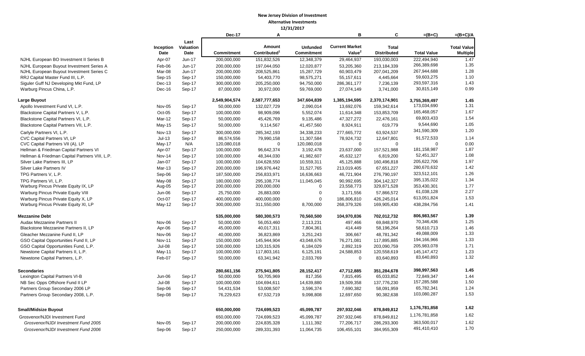|                                                |               |           | Dec-17                     | Α                          |                   | в                         | C                          | $=(B+C)$                    | $=(B+C)/A$         |
|------------------------------------------------|---------------|-----------|----------------------------|----------------------------|-------------------|---------------------------|----------------------------|-----------------------------|--------------------|
|                                                |               | Last      |                            |                            |                   |                           |                            |                             |                    |
|                                                | Inception     | Valuation |                            | Amount                     | <b>Unfunded</b>   | <b>Current Market</b>     | <b>Total</b>               |                             | <b>Total Value</b> |
|                                                | Date          | Date      | <b>Commitment</b>          | Contributed <sup>1</sup>   | <b>Commitment</b> | Value <sup>2</sup>        | <b>Distributed</b>         | <b>Total Value</b>          | <b>Multiple</b>    |
| NJHL European BO Investment II Series B        | Apr-07        | Jun-17    | 200,000,000                | 151,832,526                | 12,348,379        | 29,464,937                | 193,030,003                | 222,494,940                 | 1.47               |
| NJHL European Buyout Investment Series A       | Feb-06        | Jun-17    | 200,000,000                | 197,044,050                | 12,020,877        | 53,205,360                | 213,184,339                | 266,389,698                 | 1.35               |
| NJHL European Buyout Investment Series C       | Mar-08        | Jun-17    | 200,000,000                | 208,525,861                | 15,287,729        | 60,903,479                | 207,041,209                | 267,944,688                 | 1.28               |
| RRJ Capital Master Fund III, L.P.              | $Sep-15$      | Sep-17    | 150,000,000                | 54,403,770                 | 98,575,271        | 55, 157, 611              | 4,445,664                  | 59,603,275                  | 1.10               |
| Siguler Guff NJ Developing Mkt Fund, LP        | $Dec-13$      | Sep-17    | 300,000,000                | 205,250,000                | 94,750,000        | 286,361,177               | 7,236,139                  | 293,597,316                 | 1.43               |
| Warburg Pincus China, L.P.                     | Dec-16        | Sep-17    | 87,000,000                 | 30,972,000                 | 59,769,000        | 27,074,149                | 3,741,000                  | 30,815,149                  | 0.99               |
| Large Buyout                                   |               |           | 2,549,904,574              | 2,587,777,653              | 347,604,839       | 1,385,194,595             | 2,370,174,901              | 3,755,369,497               | 1.45               |
| Apollo Investment Fund VI, L.P.                | Nov-05        | Sep-17    | 50,000,000                 | 132,027,729                | 2,090,014         | 13,692,076                | 159,342,614                | 173,034,690                 | 1.31               |
| Blackstone Capital Partners V, L.P.            | $Oct-05$      | Sep-17    | 100,000,000                | 98,909,096                 | 5,552,074         | 11,614,348                | 153,853,709                | 165,468,057                 | 1.67               |
| Blackstone Capital Partners VI, L.P.           | Mar-12        | Sep-17    | 50,000,000                 | 45,426,769                 | 9,135,486         | 47,327,272                | 22,476,161                 | 69,803,433                  | 1.54               |
| Blackstone Capital Partners VII, L.P.          | May-15        | Sep-17    | 50,000,000                 | 9,114,567                  | 41,457,560        | 8,924,911                 | 619,779                    | 9,544,690                   | 1.05               |
| Carlyle Partners VI, L.P.                      | Nov-13        | Sep-17    | 300,000,000                | 285,342,193                | 34,338,233        | 277,665,772               | 63,924,537                 | 341,590,309                 | 1.20               |
| CVC Capital Partners VI, LP                    | $Jul-13$      | Sep-17    | 86,574,556                 | 79,990,158                 | 11,307,584        | 78,924,732                | 12,647,801                 | 91,572,533                  | 1.14               |
| CVC Capital Partners VII (A), LP               | May-17        | N/A       | 120,080,018                | $\mathbf 0$                | 120,080,018       | $\mathbf 0$               | $\mathbf 0$                | $\mathbf 0$                 | 0.00               |
| Hellman & Friedman Capital Partners VI         | Apr-07        | Sep-17    | 100,000,000                | 96,642,374                 | 3,192,478         | 23,637,000                | 157,521,988                | 181, 158, 987               | 1.87               |
| Hellman & Friedman Capital Partners VIII, L.P. | <b>Nov-14</b> | Sep-17    | 100,000,000                | 48,344,030                 | 41,982,607        | 45,632,127                | 6,819,200                  | 52,451,327                  | 1.08               |
| Silver Lake Partners III, LP                   | Jan-07        | Sep-17    | 100,000,000                | 104,628,550                | 10,559,311        | 45,125,888                | 160,496,818                | 205,622,706                 | 1.97               |
| Silver Lake Partners IV                        | Mar-13        | Sep-17    | 200,000,000                | 196,976,442                | 31,527,765        | 213,019,405               | 67,651,227                 | 280,670,632                 | 1.42               |
| TPG Partners V, L.P.                           | Sep-06        | Sep-17    | 187,500,000                | 256,833,971                | 16,636,663        | 46,721,904                | 276,790,197                | 323,512,101                 | 1.26               |
| TPG Partners VI, L.P.                          | May-08        | Sep-17    | 180,000,000                | 295,108,774                | 11,045,045        | 90,992,695                | 304,142,327                | 395, 135, 022               | 1.34               |
| Warburg Pincus Private Equity IX, LP           | Aug-05        | Sep-17    | 200,000,000                | 200,000,000                | 0                 | 23,558,773                | 329,871,528                | 353,430,301                 | 1.77               |
| Warburg Pincus Private Equity VIII             | Jun-06        | Sep-17    | 25,750,000                 | 26,883,000                 | $\overline{0}$    | 3,171,556                 | 57,866,572                 | 61,038,128                  | 2.27               |
| Warburg Pincus Private Equity X, LP            | Oct-07        | Sep-17    | 400,000,000                | 400,000,000                | $\Omega$          | 186,806,810               | 426,245,014                | 613,051,824                 | 1.53               |
| Warburg Pincus Private Equity XI, LP           | $May-12$      | Sep-17    | 300,000,000                | 311,550,000                | 8,700,000         | 268,379,326               | 169,905,430                | 438,284,756                 | 1.41               |
|                                                |               |           |                            |                            |                   |                           |                            |                             |                    |
| <b>Mezzanine Debt</b>                          |               |           | 535,000,000                | 580,300,573                | 70,560,500        | 104,970,836               | 702,012,732                | 806,983,567                 | 1.39               |
| Audax Mezzanine Partners II                    | Nov-06        | Sep-17    | 50,000,000                 | 56,053,460                 | 2,113,231         | 497,466                   | 69,848,970                 | 70,346,436                  | 1.25               |
| Blackstone Mezzanine Partners II, LP           | Apr-06        | Sep-17    | 45,000,000                 | 40,017,311                 | 7,804,361         | 414,449                   | 58,196,264                 | 58,610,713<br>49,088,009    | 1.46<br>1.33       |
| Gleacher Mezzanine Fund II, LP                 | Nov-06        | Sep-17    | 40,000,000                 | 36,823,869                 | 3,251,243         | 306,667                   | 48,781,342                 |                             | 1.33               |
| GSO Capital Opportunities Fund II, LP          | <b>Nov-11</b> | Sep-17    | 150,000,000                | 145,944,904                | 43,048,676        | 76,271,081                | 117,895,885                | 194,166,966                 | 1.71               |
| GSO Capital Opportunities Fund, L.P.           | <b>Jul-08</b> | Sep-17    | 100,000,000<br>100,000,000 | 120,315,926<br>117,803,161 | 6,184,029         | 2,892,319                 | 203,090,759<br>120,558,619 | 205,983,078                 |                    |
| Newstone Capital Partners II, L.P.             | May-11        | Sep-17    |                            |                            | 6,125,191         | 24,588,853<br>$\mathbf 0$ |                            | 145, 147, 472<br>83,640,893 | 1.23<br>1.32       |
| Newstone Capital Partners, L.P.                | Feb-07        | Sep-17    | 50,000,000                 | 63,341,942                 | 2,033,769         |                           | 83,640,893                 |                             |                    |
| <b>Secondaries</b>                             |               |           | 280,661,156                | 275,941,805                | 28,152,417        | 47,712,885                | 351,284,678                | 398,997,563                 | 1.45               |
| Lexington Capital Partners VI-B                | Jun-06        | Sep-17    | 50,000,000                 | 50,705,969                 | 817,356           | 7,815,495                 | 65,033,852                 | 72,849,347                  | 1.44               |
| NB Sec Opps Offshore Fund II LP                | <b>Jul-08</b> | Sep-17    | 100,000,000                | 104,694,611                | 14,639,880        | 19,509,358                | 137,776,230                | 157,285,588                 | 1.50               |
| Partners Group Secondary 2006 LP               | Sep-06        | Sep-17    | 54,431,534                 | 53,008,507                 | 3,596,374         | 7,690,382                 | 58,091,959                 | 65,782,341                  | 1.24               |
| Partners Group Secondary 2008, L.P.            | Sep-08        | Sep-17    | 76,229,623                 | 67,532,719                 | 9,098,808         | 12,697,650                | 90,382,638                 | 103,080,287                 | 1.53               |
|                                                |               |           |                            |                            |                   |                           |                            | 1,176,781,858               | 1.62               |
| <b>Small/Midsize Buyout</b>                    |               |           | 650,000,000                | 724,699,523                | 45,099,787        | 297,932,046               | 878,849,812                | 1,176,781,858               | 1.62               |
| Grosvenor/NJDI Investment Fund                 |               |           | 650,000,000                | 724,699,523                | 45,099,787        | 297,932,046               | 878,849,812                |                             |                    |
| Grosvenor/NJDI Investment Fund 2005            | Nov-05        | Sep-17    | 200,000,000                | 224,835,328                | 1,111,392         | 77,206,717                | 286,293,300                | 363,500,017                 | 1.62               |
| Grosvenor/NJDI Investment Fund 2006            | Sep-06        | Sep-17    | 250,000,000                | 289,331,393                | 11,064,735        | 106,455,101               | 384,955,309                | 491,410,410                 | 1.70               |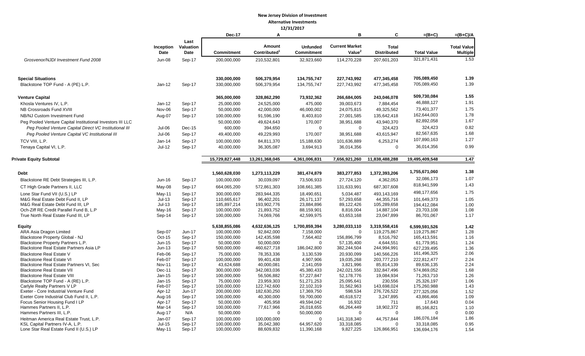|                                                                              |                         |                  | <b>Dec-17</b>              | A                         |                          | B                        | C                         | $=(B+C)$                  | $=(B+C)/A$         |
|------------------------------------------------------------------------------|-------------------------|------------------|----------------------------|---------------------------|--------------------------|--------------------------|---------------------------|---------------------------|--------------------|
|                                                                              |                         | Last             |                            |                           |                          |                          |                           |                           |                    |
|                                                                              | Inception               | <b>Valuation</b> |                            | Amount                    | <b>Unfunded</b>          | <b>Current Market</b>    | <b>Total</b>              |                           | <b>Total Value</b> |
|                                                                              | Date                    | Date             | <b>Commitment</b>          | Contributed <sup>1</sup>  | <b>Commitment</b>        | Value <sup>2</sup>       | <b>Distributed</b>        | <b>Total Value</b>        | <b>Multiple</b>    |
| Grosvenor/NJDI Investment Fund 2008                                          | <b>Jun-08</b>           | Sep-17           | 200,000,000                | 210,532,801               | 32,923,660               | 114,270,228              | 207,601,203               | 321,871,431               | 1.53               |
| <b>Special Situations</b>                                                    |                         |                  | 330,000,000                | 506,379,954               | 134,755,747              | 227,743,992              | 477,345,458               | 705,089,450               | 1.39               |
| Blackstone TOP Fund - A (PE) L.P.                                            | Jan-12                  | Sep-17           | 330,000,000                | 506,379,954               | 134,755,747              | 227,743,992              | 477,345,458               | 705,089,450               | 1.39               |
| <b>Venture Capital</b>                                                       |                         |                  | 365,000,000                | 328,862,290               | 73,932,362               | 266,684,005              | 243,046,078               | 509,730,084               | 1.55               |
| Khosla Ventures IV, L.P.                                                     | $Jan-12$                | Sep-17           | 25,000,000                 | 24,525,000                | 475,000                  | 39,003,673               | 7,884,454                 | 46,888,127                | 1.91               |
| NB Crossroads Fund XVIII                                                     | Nov-06                  | Sep-17           | 50,000,000                 | 42,000,000                | 46,000,002               | 24,075,815               | 49,325,562                | 73,401,377                | 1.75               |
| NB/NJ Custom Investment Fund                                                 | Aug-07                  | Sep-17           | 100,000,000                | 91,596,190                | 8,403,810                | 27,001,585               | 135,642,418               | 162,644,003               | 1.78               |
| Peg Pooled Venture Capital Institutional Investors III LLC                   |                         |                  | 50,000,000                 | 49,624,643                | 170,007                  | 38,951,688               | 43,940,370                | 82,892,058                | 1.67               |
| Peg Pooled Venture Capital Direct VC Institutional III                       | $Jul-06$                | $Dec-15$         | 600,000                    | 394,650                   | $\mathbf 0$              | $\mathbf 0$              | 324,423                   | 324,423                   | 0.82               |
| Peg Pooled Venture Capital VC Institutional III                              | $Jul-06$                | Sep-17           | 49,400,000                 | 49,229,993                | 170,007                  | 38,951,688               | 43,615,947                | 82,567,635                | 1.68               |
| TCV VIII. L.P.                                                               | Jan-14                  | Sep-17           | 100,000,000                | 84,811,370                | 15,188,630               | 101,636,889              | 6,253,274                 | 107,890,163               | 1.27               |
| Tenaya Capital VI, L.P.                                                      | $Jul-12$                | Sep-17           | 40,000,000                 | 36,305,087                | 3,694,913                | 36,014,356               | $\mathbf 0$               | 36,014,356                | 0.99               |
| <b>Private Equity Subtotal</b>                                               |                         |                  | 15,729,827,448             | 13,261,368,045            | 4,361,006,831            | 7,656,921,260            | 11,838,488,288            | 19,495,409,548            | 1.47               |
|                                                                              |                         |                  |                            |                           |                          |                          |                           |                           |                    |
| <b>Debt</b>                                                                  |                         |                  | 1,560,628,030              | 1,273,113,229             | 381,474,879              | 383,277,853              | 1,372,393,206             | 1,755,671,060             | 1.38               |
| Blackstone RE Debt Strategies III, L.P.                                      | $Jun-16$                | Sep-17           | 100,000,000                | 30,039,097                | 73,506,933               | 27,724,120               | 4,362,053                 | 32,086,173                | 1.07               |
| CT High Grade Partners II, LLC                                               | May-08                  | Sep-17           | 664,065,200                | 572,861,303               | 108,661,385              | 131,633,991              | 687,307,608               | 818,941,599               | 1.43               |
| Lone Star Fund VII (U.S.) LP                                                 | May-11                  | Sep-17           | 300,000,000                | 283,944,335               | 18,490,651               | 5,034,487                | 493,143,169               | 498,177,656               | 1.75               |
| M&G Real Estate Debt Fund II. LP                                             | $Jul-13$                | Sep-17           | 110,665,617                | 96,402,201                | 26,171,137               | 57,293,658               | 44,355,716                | 101,649,373               | 1.05               |
| M&G Real Estate Debt Fund III, LP                                            | $Jul-13$                | Sep-17           | 185,897,214                | 193,902,776               | 23,884,896               | 89,122,426               | 105,289,658               | 194,412,084               | 1.00               |
| Och-Ziff RE Credit Parallel Fund B, L.P                                      | May-16                  | Sep-17           | 100,000,000                | 21,893,752                | 88,159,901               | 8,816,004                | 14,887,104                | 23,703,108                | 1.08               |
| True North Real Estate Fund III, LP                                          | Sep-14                  | Sep-17           | 100,000,000                | 74,069,766                | 42,599,975               | 63,653,168               | 23,047,899                | 86,701,067                | 1.17               |
| <b>Equity</b>                                                                |                         |                  | 5,638,855,086              | 4,632,636,125             | 1,700,859,394            | 3,280,033,110            | 3,319,558,416             | 6,599,591,526             | 1.42               |
| ARA Asia Dragon Limited                                                      | Sep-07                  | Jun-17           | 100,000,000                | 92,842,000                | 7,158,000                | $\overline{0}$           | 119,275,867               | 119,275,867               | 1.28               |
| Blackstone Property Global - NJ                                              | Oct-15                  | Sep-17           | 150,000,000                | 142,435,598               | 7,564,402                | 156,896,799              | 8,516,792                 | 165,413,591               | 1.16               |
| Blackstone Property Partners L.P.                                            | Jun-15                  | Sep-17           | 50,000,000                 | 50,000,000                | $\Omega$                 | 57,135,400               | 4,644,551                 | 61,779,951                | 1.24               |
| Blackstone Real Estate Partners Asia LP                                      | $Jun-13$                | Sep-17           | 500,000,000                | 460,627,718               | 186,042,800              | 382,244,504              | 244,994,991               | 627,239,495               | 1.36               |
| <b>Blackstone Real Estate V</b>                                              | Feb-06                  | Sep-17           | 75,000,000                 | 78,353,336                | 3,130,539                | 20,930,099               | 140,566,226               | 161,496,325               | 2.06               |
| <b>Blackstone Real Estate VI</b>                                             | Feb-07<br><b>Nov-11</b> | Sep-17           | 100,000,000                | 99,401,438                | 4,907,906                | 19,035,268               | 203,777,210<br>85.814.139 | 222,812,477               | 2.24<br>2.24       |
| Blackstone Real Estate Partners VI, Sec<br><b>Blackstone Real Estate VII</b> | Dec-11                  | Sep-17<br>Sep-17 | 43,624,688<br>300,000,000  | 40,000,081<br>342,083,036 | 2,141,059<br>45,380,433  | 3,821,996<br>242,021,556 | 332,847,496               | 89,636,135<br>574,869,052 | 1.68               |
| <b>Blackstone Real Estate VIII</b>                                           | Jan-15                  | Sep-17           | 100,000,000                | 56,506,882                | 57,227,847               | 52,178,776               | 19,084,934                | 71,263,710                | 1.26               |
| Blackstone TOP Fund - A (RE) L.P.                                            | $Jan-15$                | Sep-17           | 75,000,000                 | 23,959,303                | 51,271,253               | 25,095,641               | 230,556                   | 25,326,197                | 1.06               |
| Carlyle Realty Partners V LP                                                 | Feb-07                  | Sep-17           | 100,000,000                | 122,742,600               | 22,102,319               | 31,562,963               | 143,698,024               | 175,260,988               | 1.43               |
| Exeter - Core Industrial Venture Fund                                        | Apr-12                  | Jun-17           | 200,000,000                | 182,630,250               | 17,369,750               | 598,534                  | 276,726,522               | 277,325,056               | 1.52               |
| Exeter Core Industrial Club Fund II, L.P.                                    | Aug-16                  | Sep-17           | 100,000,000                | 40,300,000                | 59,700,000               | 40,618,572               | 3,247,895                 | 43,866,466                | 1.09               |
| Focus Senior Housing Fund I LP                                               | Apr-17                  | Sep-17           | 50.000.000                 | 405,958                   | 49.594.042               | 16,932                   | 711                       | 17,643                    | 0.04               |
| Hammes Partners II, L.P.                                                     | Mar-14                  | Sep-17           | 100,000,000                | 77,617,966                | 26,018,655               | 66,264,449               | 18,902,372                | 85,166,821                | 1.10               |
| Hammes Partners III, L.P.                                                    | Aug-17                  | N/A              | 50,000,000                 | $\Omega$                  | 50,000,000               | $\mathbf 0$              | $\mathbf 0$               | $\mathbf 0$               | 0.00               |
| Heitman America Real Estate Trust, L.P.                                      | Jan-07                  | Sep-17           | 100,000,000                | 100,000,000               | $\Omega$                 | 141,318,340              | 44,757,844                | 186,076,184               | 1.86               |
| KSL Capital Partners IV-A, L.P.<br>Lone Star Real Estate Fund II (U.S.) LP   | $Jul-15$<br>May-11      | Sep-17<br>Sep-17 | 100,000,000<br>100,000,000 | 35,042,380<br>88,609,832  | 64,957,620<br>11,390,168 | 33,318,085<br>9,827,225  | $\Omega$<br>126,866,951   | 33,318,085<br>136,694,176 | 0.95<br>1.54       |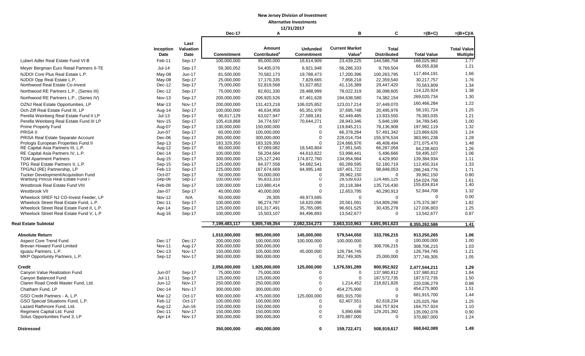## **New Jersey Division of Investment**

#### **Alternative Investments 12/31/2017**

|                                           |               |               |               |                          | 12/31/2017        |                       |                    |                    |                    |
|-------------------------------------------|---------------|---------------|---------------|--------------------------|-------------------|-----------------------|--------------------|--------------------|--------------------|
|                                           |               |               | <b>Dec-17</b> | А                        |                   | в                     | C                  | $=(B+C)$           | $=(B+C)/A$         |
|                                           |               | Last          |               |                          |                   |                       |                    |                    |                    |
|                                           | Inception     | Valuation     |               | Amount                   | <b>Unfunded</b>   | <b>Current Market</b> | <b>Total</b>       |                    | <b>Total Value</b> |
|                                           | Date          | Date          | Commitment    | Contributed <sup>1</sup> | <b>Commitment</b> | Value <sup>2</sup>    | <b>Distributed</b> | <b>Total Value</b> | <b>Multiple</b>    |
| Lubert Adler Real Estate Fund VI-B        | Feb-11        | Sep-17        | 100,000,000   | 95,000,000               | 16,614,909        | 23,439,225            | 144,586,758        | 168,025,982        | 1.77               |
|                                           |               |               |               |                          |                   |                       |                    | 66,055,838         | 1.21               |
| Meyer Bergman Euro Retail Partners II-TE  | $Jul-14$      | Sep-17        | 59,365,052    | 54,405,076               | 6,921,948         | 56,286,333            | 9,769,504          | 117,464,191        | 1.66               |
| NJDOI Core Plus Real Estate L.P.          | May-08        | $Jun-17$      | 81,500,000    | 70,582,173               | 19,788,473        | 17,200,396            | 100,263,795        |                    |                    |
| NJDOI Opp Real Estate L.P.                | May-08        | Sep-17        | 25,000,000    | 17,170,335               | 7,829,665         | 7,858,218             | 22,359,540         | 30,217,757         | 1.76               |
| Northwood Real Estate Co-Invest           | Dec-12        | Sep-17        | 75,000,000    | 52,819,568               | 51,627,852        | 41,116,389            | 29,447,420         | 70,563,809         | 1.34               |
| Northwood RE Partners L.P., (Series III)  | Dec-12        | Sep-17        | 75,000,000    | 82,601,330               | 28,488,999        | 78,022,319            | 36,098,605         | 114,120,924        | 1.38               |
| Northwood RE Partners L.P., (Series IV)   | <b>Nov-13</b> | Sep-17        | 200,000,000   | 206,920,526              | 67,461,628        | 194,638,580           | 74,382,154         | 269,020,734        | 1.30               |
| OZNJ Real Estate Opportunities, LP        | Mar-13        | <b>Nov-17</b> | 200,000,000   | 131,423,218              | 106,025,852       | 123,017,214           | 37,449,070         | 160,466,284        | 1.22               |
| Och-Ziff Real Estate Fund III. LP         | Aug-14        | Sep-17        | 100,000,000   | 46,634,958               | 65,351,978        | 37,695,748            | 20,495,976         | 58,191,724         | 1.25               |
| Perella Weinberg Real Estate Fund II LP   | $Jul-13$      | Sep-17        | 90,617,129    | 63,027,947               | 27,589,181        | 62,449,485            | 13,933,550         | 76,383,035         | 1.21               |
| Perella Weinberg Real Estate Fund III LP  | <b>Nov-15</b> | Sep-17        | 105,418,868   | 34,774,597               | 70,644,271        | 28,943,346            | 5,846,199          | 34,789,545         | 1.00               |
| <b>Prime Property Fund</b>                | Aug-07        | Sep-17        | 130,000,000   | 150,000,000              | $\Omega$          | 119,845,211           | 78,136,908         | 197,982,119        | 1.32               |
| PRISA II                                  | Jun-07        | Sep-17        | 60,000,000    | 100,000,000              | $\mathbf 0$       | 66,378,284            | 57,491,342         | 123,869,626        | 1.24               |
| PRISA Real Estate Separate Account        | Dec-06        | Sep-17        | 265,000,000   | 300,000,000              | $\mathbf 0$       | 228,014,704           | 155,976,534        | 383,991,238        | 1.28               |
| Prologis European Properties Fund II      | Sep-13        | Sep-17        | 183,329,350   | 183,329,350              | $\Omega$          | 224,666,976           | 46,408,494         | 271,075,470        | 1.48               |
| RE Capital Asia Partners III, L.P.        | Aug-12        | Sep-17        | 80,000,000    | 67,069,082               | 18,540,804        | 17,951,545            | 66,287,058         | 84,238,603         | 1.26               |
| RE Capital Asia Partners IV, L.P.         | Dec-14        | Sep-17        | 100,000,000   | 56,204,684               | 44,610,822        | 53,998,441            | 5,496,666          | 59,495,107         | 1.06               |
| <b>TGM Apartment Partners</b>             | Aug-15        | Sep-17        | 300,000,000   | 125, 127, 240            | 174,872,760       | 134,954,984           | 4,429,950          | 139,384,934        | 1.11               |
| TPG Real Estate Partners II, L.P.         | Sep-15        | Sep-17        | 125,000,000   | 84,377,558               | 54,682,541        | 60,289,595            | 52,160,719         | 112,450,314        | 1.33               |
| TPG/NJ (RE) Partnership, LP               | Feb-13        | Sep-17        | 225,000,000   | 167,674,669              | 84,995,148        | 187,401,722           | 98,848,053         | 286,249,776        | 1.71               |
| Tucker Development/Acquisition Fund       | Oct-07        | Sep-17        | 50,000,000    | 50,000,000               | $\Omega$          | 39,962,150            | $\Omega$           | 39,962,150         | 0.80               |
| Warburg Pincus Real Estate Fund I         | Sep-06        | Sep-17        | 100,000,000   | 95,833,333               | $\Omega$          | 29,539,633            | 124,485,125        | 154.024.758        | 1.61               |
| Westbrook Real Estate Fund VIII           | Feb-08        | Sep-17        | 100,000,000   | 110,980,414              | $\Omega$          | 20,118,384            | 135,716,430        | 155,834,814        | 1.40               |
| Westbrook VII                             | Jan-07        | Sep-17        | 40,000,000    | 40,000,000               | $\Omega$          | 12,653,795            | 40,290,913         | 52,944,708         | 1.32               |
| Wheelock SREF NJ CO-Invest Feeder, LP     | <b>Nov-12</b> | N/A           | 50,000,000    | 26,305                   | 49,973,695        | $\Omega$              | $\Omega$           | $\Omega$           | 0.00               |
| Wheelock Street Real Estate Fund, L.P.    | Dec-11        | Sep-17        | 100,000,000   | 96,274,787               | 18,620,096        | 20,561,091            | 154,809,296        | 175,370,387        | 1.82               |
| Wheelock Street Real Estate Fund II, L.P. | Apr-14        | Sep-17        | 125,000,000   | 101,317,491              | 35,765,085        | 96,601,525            | 30,435,278         | 127,036,803        | 1.25               |
| Wheelock Street Real Estate Fund V, L.P   | Aug-16        | Sep-17        | 100,000,000   | 15,503,107               | 84,496,893        | 13,542,677            | 0                  | 13,542,677         | 0.87               |
| Real Estate Subtotal                      |               |               | 7,199,483,117 | 5,905,749,354            | 2,082,334,273     | 3,663,310,963         | 4,691,951,623      | 8,355,262,586      | 1.41               |
|                                           |               |               |               |                          |                   |                       |                    |                    |                    |
| <b>Absolute Return</b>                    |               |               | 1,010,000,000 | 865,000,000              | 145,000,000       | 579,544,050           | 333,706,215        | 913,250,265        | 1.06               |
| <b>Aspect Core Trend Fund</b>             | Dec-17        | Dec-17        | 200,000,000   | 100,000,000              | 100,000,000       | 100,000,000           | $\mathbf 0$        | 100,000,000        | 1.00               |
| Brevan Howard Fund Limited                | <b>Nov-11</b> | Aug-17        | 300,000,000   | 300,000,000              | $\overline{0}$    | $\Omega$              | 308,706,215        | 308,706,215        | 1.03               |
| Iguazu Partners, L.P.                     | $Dec-13$      | <b>Nov-17</b> | 150,000,000   | 105,000,000              | 45,000,000        | 126,794,745           | $\Omega$           | 126,794,745        | 1.21               |
| MKP Opportunity Partners, L.P.            | Sep-12        | Nov-17        | 360,000,000   | 360,000,000              | $\mathbf{0}$      | 352,749,305           | 25,000,000         | 377,749,305        | 1.05               |
| <b>Credit</b>                             |               |               | 2,050,000,000 | 1,925,000,000            | 125,000,000       | 1,576,591,289         | 900,952,922        | 2,477,544,211      | 1.29               |
| Canyon Value Realization Fund             | Jun-07        | Sep-17        | 75,000,000    | 75,000,000               | $\mathbf 0$       | $\Omega$              | 137,980,812        | 137,980,812        | 1.84               |
| Canyon Balanced Fund                      | Jul-11        | Sep-17        | 125,000,000   | 125,000,000              | $\mathbf 0$       | $\Omega$              | 187,572,735        | 187,572,735        | 1.50               |
| Claren Road Credit Master Fund, Ltd.      | Jun-12        | <b>Nov-17</b> | 250,000,000   | 250,000,000              | $\Omega$          | 1,214,452             | 218,821,826        | 220,036,279        | 0.88               |
|                                           |               |               |               |                          |                   |                       |                    | 454,275,900        | 1.51               |
| Chatham Fund, LP                          | Dec-14        | <b>Nov-17</b> | 300,000,000   | 300,000,000              |                   | 454,275,900           |                    |                    |                    |
| GSO Credit Partners - A, L.P.             | Mar-12        | $Oct-17$      | 600,000,000   | 475,000,000              | 125,000,000       | 681,915,700           | $\Omega$           | 681,915,700        | 1.44               |
| GSO Special Situations Fund, L.P.         | Feb-12        | Oct-17        | 100,000,000   | 100,000,000              | 0                 | 62,407,551            | 62,618,234         | 125,025,784        | 1.25               |
| Lazard Rathmore Fund, Ltd.                | Aug-12        | Jun-16        | 150,000,000   | 150,000,000              | 0                 | 0                     | 164,757,924        | 164,757,924        | 1.10               |
| Regiment Capital Ltd. Fund                | Dec-11        | <b>Nov-17</b> | 150,000,000   | 150,000,000              | 0                 | 5,890,686             | 129,201,392        | 135,092,078        | 0.90               |
| Solus Opportunities Fund 3, LP            | Apr-14        | <b>Nov-17</b> | 300,000,000   | 300,000,000              | 0                 | 370,887,000           | 0                  | 370,887,000        | 1.24               |
| <b>Distressed</b>                         |               |               | 350,000,000   | 450,000,000              | 0                 | 159,722,471           | 508,919,617        | 668,642,089        | 1.49               |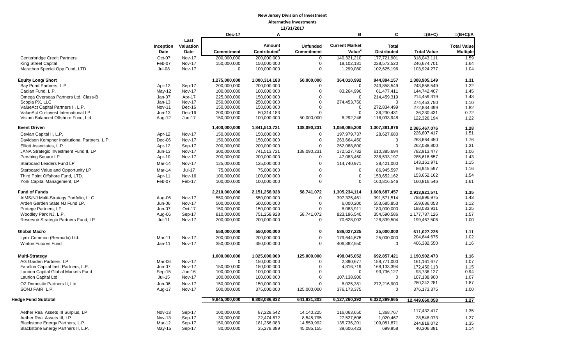|                                                                   |                    |                         | <b>Dec-17</b>              | Α                                  |                                      | B                                           | C                                  | $=(B+C)$                   | $=(B+C)/A$              |
|-------------------------------------------------------------------|--------------------|-------------------------|----------------------------|------------------------------------|--------------------------------------|---------------------------------------------|------------------------------------|----------------------------|-------------------------|
|                                                                   |                    | Last                    |                            |                                    |                                      |                                             |                                    |                            |                         |
|                                                                   | Inception<br>Date  | Valuation               | <b>Commitment</b>          | Amount<br>Contributed <sup>1</sup> | <b>Unfunded</b><br><b>Commitment</b> | <b>Current Market</b><br>Value <sup>2</sup> | <b>Total</b><br><b>Distributed</b> | <b>Total Value</b>         | <b>Total Value</b>      |
| Centerbridge Credit Partners                                      | Oct-07             | Date<br>Nov-17          | 200,000,000                | 200,000,000                        | $\mathbf 0$                          | 140,321,210                                 | 177,721,901                        | 318,043,111                | <b>Multiple</b><br>1.59 |
| <b>King Street Capital</b>                                        | Feb-07             | <b>Nov-17</b>           | 150,000,000                | 150,000,000                        | $\mathbf 0$                          | 18,102,181                                  | 228.572.520                        | 246,674,701                | 1.64                    |
| Marathon Special Opp Fund, LTD                                    | <b>Jul-08</b>      | <b>Nov-17</b>           | $\Omega$                   | 100,000,000                        | $\mathbf 0$                          | 1,299,080                                   | 102,625,196                        | 103,924,277                | 1.04                    |
|                                                                   |                    |                         |                            |                                    |                                      |                                             |                                    |                            |                         |
| <b>Equity Long/ Short</b>                                         |                    |                         | 1,275,000,000              | 1,000,314,183                      | 50,000,000                           | 364,010,992                                 | 944,894,157                        | 1,308,905,149              | 1.31                    |
| Bay Pond Partners, L.P.                                           | Apr-12             | Sep-17                  | 200,000,000                | 200,000,000                        | $\mathbf 0$                          | $\Omega$                                    | 243,858,549                        | 243,858,549                | 1.22                    |
| Cadian Fund, L.P.                                                 | $May-12$           | <b>Nov-17</b>           | 100,000,000                | 100,000,000                        | $\mathbf 0$                          | 83,264,996                                  | 61,477,411                         | 144,742,407                | 1.45                    |
| Omega Overseas Partners Ltd. Class-B                              | Jan-07             | Apr-17                  | 225,000,000                | 150,000,000                        | $\Omega$                             | $\Omega$                                    | 214,459,319                        | 214,459,319                | 1.43                    |
| Scopia PX, LLC                                                    | $Jan-13$           | Nov-17                  | 250,000,000                | 250,000,000                        | $\mathbf 0$                          | 274,453,750                                 | $\Omega$                           | 274,453,750                | 1.10                    |
| ValueAct Capital Partners II, L.P.                                | <b>Nov-11</b>      | Dec-16                  | 150,000,000                | 150,000,000                        | $\mathbf 0$                          | $\Omega$                                    | 272,834,499                        | 272,834,499                | 1.82                    |
| ValueAct Co-Invest International LP                               | $Jun-13$           | Dec-16                  | 200,000,000                | 50,314,183                         | $\Omega$                             | $\Omega$                                    | 36,230,431                         | 36,230,431                 | 0.72                    |
| Visium Balanced Offshore Fund, Ltd                                | Aug-12             | Jun-17                  | 150,000,000                | 100,000,000                        | 50,000,000                           | 6,292,246                                   | 116,033,948                        | 122,326,194                | 1.22                    |
| <b>Event Driven</b>                                               |                    |                         | 1,400,000,000              | 1,841,513,721                      | 138,090,231                          | 1,058,085,200                               | 1,307,381,876                      | 2,365,467,076              | 1.28                    |
| Cevian Capital II, L.P.                                           | Apr-12             | Nov-17                  | 150,000,000                | 150,000,000                        | $\overline{0}$                       | 197,979,737                                 | 28,627,680                         | 226,607,417                | 1.51                    |
| Davidson Kempner Institutional Partners, L.P                      | Dec-06             | Nov-17                  | 150,000,000                | 150,000,000                        | $\mathbf 0$                          | 263,664,450                                 | $\mathbf 0$                        | 263,664,450                | 1.76                    |
|                                                                   |                    |                         |                            |                                    | $\mathbf 0$                          |                                             | $\Omega$                           | 262,088,800                | 1.31                    |
| Elliott Associates, L.P.<br>JANA Strategic Investment Fund II, LP | Apr-12<br>$Jun-13$ | Sep-17<br><b>Nov-17</b> | 200,000,000<br>300,000,000 | 200,000,000<br>741,513,721         | 138,090,231                          | 262,088,800<br>172,527,782                  | 610,385,694                        |                            | 1.06                    |
| Pershing Square LP                                                | Apr-10             | Nov-17                  | 200,000,000                | 200,000,000                        | $\mathbf 0$                          | 47,083,460                                  | 238,533,197                        | 782,913,477<br>285,616,657 | 1.43                    |
|                                                                   |                    |                         |                            |                                    |                                      |                                             |                                    | 143, 161, 971              | 1.15                    |
| Starboard Leaders Fund LP                                         | Mar-14             | <b>Nov-17</b>           | 125,000,000                | 125,000,000                        | $\mathbf 0$                          | 114,740,971                                 | 28,421,000                         |                            |                         |
| Starboard Value and Opportunity LP                                | Mar-14             | Jul-17                  | 75,000,000                 | 75,000,000                         | $\mathbf 0$                          | $\mathbf 0$                                 | 86,945,597                         | 86,945,597                 | 1.16                    |
| Third Point Offshore Fund, LTD.                                   | Apr-11             | Nov-16                  | 100,000,000                | 100,000,000                        | $\mathbf 0$                          | $\mathbf 0$                                 | 153,652,162                        | 153,652,162                | 1.54                    |
| York Capital Management, LP                                       | Feb-07             | Feb-17                  | 100,000,000                | 100,000,000                        | $\Omega$                             | $\Omega$                                    | 160,816,546                        | 160,816,546                | 1.61                    |
| <b>Fund of Funds</b>                                              |                    |                         | 2,210,000,000              | 2,151,258,928                      | 58,741,072                           | 1,305,234,114                               | 1,608,687,457                      | 2,913,921,571              | 1.35                    |
| AIMS/NJ Multi-Strategy Portfolio, LLC                             | Aug-06             | <b>Nov-17</b>           | 550,000,000                | 550,000,000                        | $\mathbf 0$                          | 397,325,461                                 | 391,571,514                        | 788,896,975                | 1.43                    |
| Arden Garden State NJ Fund LP.                                    | Jun-06             | Nov-17                  | 500,000,000                | 500,000,000                        | $\mathbf 0$                          | 6,000,200                                   | 553,685,853                        | 559,686,053                | 1.12                    |
| Protege Partners, LP                                              | <b>Jun-07</b>      | Oct-17                  | 150,000,000                | 150,000,000                        | $\mathbf 0$                          | 8,083,911                                   | 180,000,000                        | 188,083,911                | 1.25                    |
| Woodley Park NJ, L.P.                                             | Aug-06             | Sep-17                  | 810,000,000                | 751,258,928                        | 58,741,072                           | 823,196,540                                 | 354,590,586                        | 1,177,787,126              | 1.57                    |
| Reservoir Strategic Partners Fund, LP                             | Jul-11             | <b>Nov-17</b>           | 200,000,000                | 200,000,000                        | $\mathbf 0$                          | 70,628,002                                  | 128,839,504                        | 199,467,506                | 1.00                    |
| <b>Global Macro</b>                                               |                    |                         | 550,000,000                | 550,000,000                        | $\mathbf 0$                          | 586,027,225                                 | 25,000,000                         | 611,027,225                | 1.11                    |
| Lynx Common (Bermuda) Ltd.                                        | Mar-11             | Nov-17                  | 200,000,000                | 200,000,000                        | $\mathbf 0$                          | 179,644,675                                 | 25,000,000                         | 204,644,675                | 1.02                    |
| Winton Futures Fund                                               | Jan-11             | <b>Nov-17</b>           | 350,000,000                | 350,000,000                        | $\mathbf 0$                          | 406,382,550                                 | $\mathbf 0$                        | 406,382,550                | 1.16                    |
|                                                                   |                    |                         |                            |                                    |                                      |                                             |                                    |                            |                         |
| <b>Multi-Strategy</b>                                             |                    |                         | 1,000,000,000              | 1,025,000,000                      | 125,000,000                          | 498,045,052                                 | 692,857,421                        | 1,190,902,473              | 1.16                    |
| AG Garden Partners, LP                                            | Mar-06             | Nov-17                  | $\Omega$                   | 150,000,000                        | $\mathbf 0$                          | 2,390,677                                   | 158,771,000                        | 161,161,677                | 1.07                    |
| Farallon Capital Inst. Partners, L.P.                             | Jun-07             | <b>Nov-17</b>           | 150,000,000                | 150,000,000                        | $\overline{0}$                       | 4,316,719                                   | 168,133,394                        | 172,450,113                | 1.15                    |
| Laurion Capital Global Markets Fund                               | $Sep-15$           | Jun-16                  | 100,000,000                | 100,000,000                        | $\mathbf 0$                          | $\Omega$                                    | 93,736,127                         | 93,736,127                 | 0.94                    |
| Laurion Capital Ltd.                                              | $Jul-15$           | <b>Nov-17</b>           | 100,000,000                | 100,000,000                        | $\mathbf 0$                          | 107,138,900                                 | $\mathbf 0$                        | 107,138,900                | 1.07                    |
| OZ Domestic Partners II, Ltd.                                     | Jun-06             | Nov-17                  | 150,000,000                | 150,000,000                        | $\mathbf 0$                          | 8,025,381                                   | 272,216,900                        | 280,242,281                | 1.87                    |
| SONJ FAIR, L.P.                                                   | Aug-17             | Nov-17                  | 500,000,000                | 375,000,000                        | 125,000,000                          | 376, 173, 375                               | $\mathbf 0$                        | 376, 173, 375              | 1.00                    |
| Hedge Fund Subtotal                                               |                    |                         | 9,845,000,000              | 9,808,086,832                      | 641,831,303                          | 6,127,260,392                               | 6,322,399,665                      | 12,449,660,058             | 1.27                    |
|                                                                   |                    |                         |                            |                                    |                                      |                                             |                                    |                            |                         |
| Aether Real Assets III Surplus, LP                                | Nov-13             | Sep-17                  | 100,000,000                | 87,228,542                         | 14,140,225                           | 116,063,650                                 | 1,368,767                          | 117,432,417                | 1.35                    |
| Aether Real Assets III, LP                                        | <b>Nov-13</b>      | Sep-17                  | 30,000,000                 | 22,474,672                         | 8,545,795                            | 27,527,606                                  | 1,020,467                          | 28,548,073                 | 1.27                    |
| Blackstone Energy Partners, L.P.                                  | Mar-12             | Sep-17                  | 150,000,000                | 181,256,083                        | 14,559,992                           | 135,736,201                                 | 109,081,871                        | 244,818,072                | 1.35                    |
| Blackstone Energy Partners II, L.P.                               | May-15             | Sep-17                  | 80,000,000                 | 35,278,389                         | 45,085,155                           | 39,606,423                                  | 699,958                            | 40,306,381                 | 1.14                    |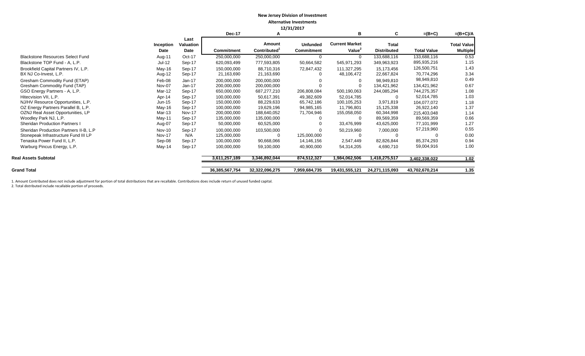|                                         |               |                          | ,,             |                    |                   |                                             |                    |                    |                    |
|-----------------------------------------|---------------|--------------------------|----------------|--------------------|-------------------|---------------------------------------------|--------------------|--------------------|--------------------|
|                                         |               |                          | <b>Dec-17</b>  | А                  |                   | в                                           | C                  | $=(B+C)$           | $=(B+C)/A$         |
|                                         | Inception     | Last<br><b>Valuation</b> |                | Amount             | <b>Unfunded</b>   | <b>Current Market</b><br>Value <sup>2</sup> | <b>Total</b>       |                    | <b>Total Value</b> |
|                                         | <b>Date</b>   | Date                     | Commitment     | <b>Contributed</b> | <b>Commitment</b> |                                             | <b>Distributed</b> | <b>Total Value</b> | <b>Multiple</b>    |
| <b>Blackstone Resources Select Fund</b> | Aug-11        | Oct-17                   | 250,000,000    | 250,000,000        |                   | 0                                           | 133,688,116        | 133,688,116        | 0.53               |
| Blackstone TOP Fund - A, L.P.           | $Jul-12$      | Sep-17                   | 620,093,499    | 777,593,805        | 50,664,582        | 545,971,293                                 | 349,963,923        | 895,935,216        | 1.15               |
| Brookfield Capital Partners IV, L.P.    | $May-16$      | Sep-17                   | 150,000,000    | 88,710,316         | 72,847,432        | 111,327,295                                 | 15,173,456         | 126,500,751        | 1.43               |
| BX NJ Co-Invest, L.P.                   | Aug-12        | Sep-17                   | 21,163,690     | 21,163,690         |                   | 48,106,472                                  | 22,667,824         | 70,774,296         | 3.34               |
| Gresham Commodity Fund (ETAP)           | Feb-08        | $Jan-17$                 | 200,000,000    | 200,000,000        |                   |                                             | 98,949,810         | 98,949,810         | 0.49               |
| Gresham Commodity Fund (TAP)            | Nov-07        | $Jan-17$                 | 200,000,000    | 200,000,000        |                   |                                             | 134,421,962        | 134,421,962        | 0.67               |
| GSO Energy Partners - A, L.P.           | Mar-12        | Sep-17                   | 650,000,000    | 687,277,210        | 206,808,084       | 500,190,063                                 | 244,085,294        | 744,275,357        | 1.08               |
| Hitecvision VII, L.P.                   | Apr-14        | Sep-17                   | 100,000,000    | 50,617,391         | 49,382,609        | 52,014,785                                  |                    | 52,014,785         | 1.03               |
| NJ/HV Resource Opportunities, L.P.      | Jun-15        | Sep-17                   | 150,000,000    | 88,229,633         | 65,742,186        | 100,105,253                                 | 3,971,819          | 104,077,072        | 1.18               |
| OZ Energy Partners Parallel B, L.P.     | May-16        | Sep-17                   | 100,000,000    | 19,629,196         | 94,985,165        | 11,796,801                                  | 15,125,338         | 26,922,140         | 1.37               |
| OZNJ Real Asset Opportunities, LP       | Mar-13        | Nov-17                   | 200,000,000    | 188,640,052        | 71,704,946        | 155,058,050                                 | 60,344,998         | 215,403,048        | 1.14               |
| Woodley Park NJ, L.P.                   | May-11        | Sep-17                   | 135,000,000    | 135,000,000        |                   |                                             | 89,569,359         | 89,569,359         | 0.66               |
| <b>Sheridan Production Partners I</b>   | Aug-07        | Sep-17                   | 50,000,000     | 60,525,000         |                   | 33,476,999                                  | 43,625,000         | 77,101,999         | 1.27               |
| Sheridan Production Partners II-B, L.P  | Nov-10        | Sep-17                   | 100,000,000    | 103,500,000        |                   | 50,219,960                                  | 7,000,000          | 57,219,960         | 0.55               |
| Stonepeak Infrastructure Fund III LP    | <b>Nov-17</b> | N/A                      | 125,000,000    |                    | 125,000,000       |                                             |                    |                    | 0.00               |
| Tenaska Power Fund II, L.P.             | Sep-08        | Sep-17                   | 100,000,000    | 90,668,066         | 14,146,156        | 2,547,449                                   | 82,826,844         | 85,374,293         | 0.94               |
| Warburg Pincus Energy, L.P.             | May-14        | Sep-17                   | 100,000,000    | 59,100,000         | 40,900,000        | 54,314,205                                  | 4,690,710          | 59,004,916         | 1.00               |
| <b>Real Assets Subtotal</b>             |               |                          | 3,611,257,189  | 3,346,892,044      | 874,512,327       | 1,984,062,506                               | 1,418,275,517      | 3,402,338,022      | 1.02               |
|                                         |               |                          |                |                    |                   |                                             |                    |                    |                    |
| <b>Grand Total</b>                      |               |                          | 36,385,567,754 | 32,322,096,275     | 7,959,684,735     | 19,431,555,121                              | 24,271,115,093     | 43,702,670,214     | 1.35               |

1. Amount Contributed does not include adjustment for portion of total distributions that are recallable. Contributions does include return of unused funded capital.

2. Total distributed include recallable portion of proceeds.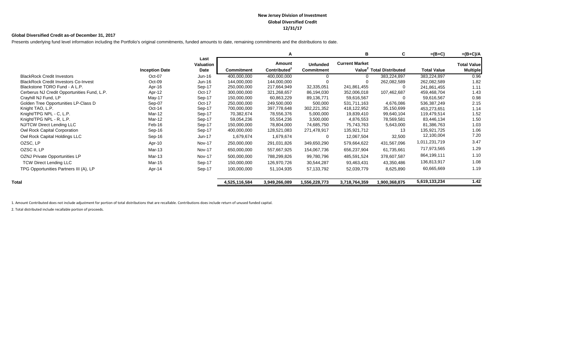#### **New Jersey Division of Investment Global Diversified Credit 12/31/17**

#### **Global Diversified Credit as-of December 31, 2017**

Presents underlying fund level information including the Portfolio's original commitments, funded amounts to date, remaining commitments and the distributions to date.

|                                             |                       |                           |                   | А                                  |                                      | в                     | C                                    | $=(B+C)$           | $=(B+C)/A$                            |
|---------------------------------------------|-----------------------|---------------------------|-------------------|------------------------------------|--------------------------------------|-----------------------|--------------------------------------|--------------------|---------------------------------------|
|                                             | <b>Inception Date</b> | Last<br>Valuation<br>Date | <b>Commitment</b> | Amount<br>Contributed <sup>1</sup> | <b>Unfunded</b><br><b>Commitment</b> | <b>Current Market</b> | Value <sup>2</sup> Total Distributed | <b>Total Value</b> | <b>Total Value</b><br><b>Multiple</b> |
| <b>BlackRock Credit Investors</b>           | Oct-07                | $Jun-16$                  | 400,000,000       | 400,000,000                        |                                      |                       | 383,224,897                          | 383,224,897        | 0.96                                  |
| <b>BlackRock Credit Investors Co-Invest</b> | Oct-09                | $Jun-16$                  | 144,000,000       | 144,000,000                        |                                      |                       | 262,082,589                          | 262,082,589        | 1.82                                  |
| Blackstone TORO Fund - A L.P.               | Apr-16                | Sep-17                    | 250,000,000       | 217,664,949                        | 32,335,051                           | 241,861,455           | $\Omega$                             | 241,861,455        | 1.11                                  |
| Cerberus NJ Credit Opportunities Fund, L.P. | Apr-12                | Oct-17                    | 300,000,000       | 321,268,657                        | 86,194,030                           | 352,006,018           | 107,462,687                          | 459,468,704        | 1.43                                  |
| Crayhill NJ Fund, LP                        | May-17                | Sep-17                    | 150,000,000       | 60,863,229                         | 89,136,771                           | 59,616,567            | 0                                    | 59,616,567         | 0.98                                  |
| Golden Tree Opportunities LP-Class D        | Sep-07                | Oct-17                    | 250,000,000       | 249,500,000                        | 500,000                              | 531,711,163           | 4,676,086                            | 536,387,249        | 2.15                                  |
| Knight TAO, L.P.                            | $Oct-14$              | Sep-17                    | 700,000,000       | 397,778,648                        | 302,221,352                          | 418,122,952           | 35,150,699                           | 453,273,651        | 1.14                                  |
| Knight/TPG NPL - C, L.P.                    | Mar-12                | Sep-17                    | 70,382,674        | 78,556,376                         | 5,000,000                            | 19,839,410            | 99,640,104                           | 119,479,514        | 1.52                                  |
| Knight/TPG NPL - R, L.P.                    | Mar-12                | Sep-17                    | 59,054,236        | 55,554,236                         | 3,500,000                            | 4,876,553             | 78,569,581                           | 83,446,134         | 1.50                                  |
| NJ/TCW Direct Lending LLC                   | Feb-16                | Sep-17                    | 150,000,000       | 78,804,000                         | 74,685,750                           | 75,743,763            | 5,643,000                            | 81,386,763         | 1.03                                  |
| Owl Rock Capital Corporation                | Sep-16                | Sep-17                    | 400,000,000       | 128,521,083                        | 271,478,917                          | 135,921,712           | 13                                   | 135,921,725        | 1.06                                  |
| Owl Rock Capital Holdings LLC               | Sep-16                | Jun-17                    | 1,679,674         | 1,679,674                          | 0                                    | 12,067,504            | 32,500                               | 12,100,004         | 7.20                                  |
| OZSC, LP                                    | Apr-10                | <b>Nov-17</b>             | 250,000,000       | 291,031,826                        | 349,650,290                          | 579,664,622           | 431,567,096                          | 1,011,231,719      | 3.47                                  |
| OZSC II, LP                                 | Mar-13                | <b>Nov-17</b>             | 650,000,000       | 557,667,925                        | 154,067,736                          | 656,237,904           | 61,735,661                           | 717,973,565        | 1.29                                  |
| OZNJ Private Opportunities LP               | Mar-13                | <b>Nov-17</b>             | 500,000,000       | 788,299,826                        | 99,780,796                           | 485,591,524           | 378,607,587                          | 864,199,111        | 1.10                                  |
| <b>TCW Direct Lending LLC</b>               | Mar-15                | Sep-17                    | 150,000,000       | 126,970,726                        | 30,544,287                           | 93,463,431            | 43,350,486                           | 136,813,917        | 1.08                                  |
| TPG Opportunities Partners III (A), LP      | Apr-14                | Sep-17                    | 100,000,000       | 51,104,935                         | 57,133,792                           | 52,039,779            | 8,625,890                            | 60,665,669         | 1.19                                  |
| Total                                       |                       |                           | 4,525,116,584     | 3,949,266,089                      | 1,556,228,773                        | 3,718,764,359         | 1,900,368,875                        | 5,619,133,234      | 1.42                                  |

1. Amount Contributed does not include adjustment for portion of total distributions that are recallable. Contributions does include return of unused funded capital.

2. Total distributed include recallable portion of proceeds.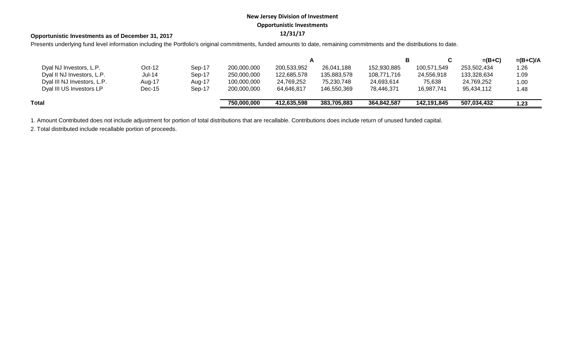# **New Jersey Division of Investment Opportunistic Investments**

# **12/31/17 Opportunistic Investments as of December 31, 2017**

Presents underlying fund level information including the Portfolio's original commitments, funded amounts to date, remaining commitments and the distributions to date.

|                             |               |        |             |             |             |             |             | $=(B+C)$    | $=(B+C)/A$ |
|-----------------------------|---------------|--------|-------------|-------------|-------------|-------------|-------------|-------------|------------|
| Dyal NJ Investors, L.P.     | $Oct-12$      | Sep-17 | 200,000,000 | 200,533,952 | 26,041,188  | 152,930,885 | 100,571,549 | 253,502,434 | 1.26       |
| Dyal II NJ Investors, L.P.  | <b>Jul-14</b> | Sep-17 | 250,000,000 | 122,685,578 | 135,883,578 | 108,771,716 | 24,556,918  | 133,328,634 | 1.09       |
| Dyal III NJ Investors, L.P. | Aug-17        | Aug-17 | 100,000,000 | 24,769,252  | 75,230,748  | 24,693,614  | 75,638      | 24,769,252  | 1.00       |
| Dyal III US Investors LP    | $Dec-15$      | Sep-17 | 200,000,000 | 64.646.817  | 146,550,369 | 78.446.371  | 16.987.741  | 95,434,112  | 1.48       |
| Total                       |               |        | 750,000,000 | 412.635.598 | 383.705.883 | 364.842.587 | 142.191.845 | 507.034.432 | 1.23       |

1. Amount Contributed does not include adjustment for portion of total distributions that are recallable. Contributions does include return of unused funded capital.

2. Total distributed include recallable portion of proceeds.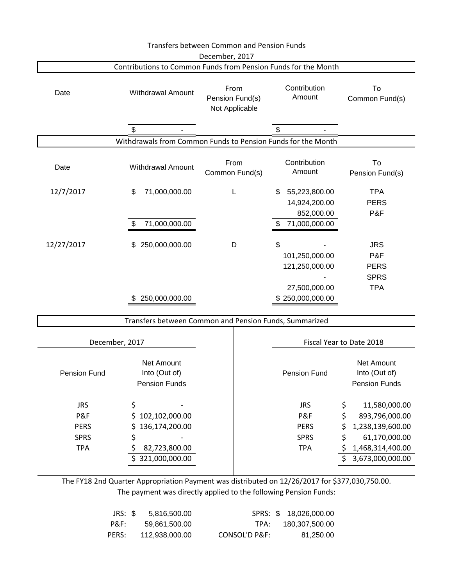|                            |                                                                | <b>Transfers between Common and Pension Funds</b>                   |                                                    |                                                     |
|----------------------------|----------------------------------------------------------------|---------------------------------------------------------------------|----------------------------------------------------|-----------------------------------------------------|
|                            | Contributions to Common Funds from Pension Funds for the Month | December, 2017                                                      |                                                    |                                                     |
| Date                       | <b>Withdrawal Amount</b>                                       | Contribution<br>From<br>Amount<br>Pension Fund(s)<br>Not Applicable |                                                    | To<br>Common Fund(s)                                |
|                            | \$                                                             |                                                                     | \$                                                 |                                                     |
|                            | Withdrawals from Common Funds to Pension Funds for the Month   |                                                                     |                                                    |                                                     |
| Date                       | <b>Withdrawal Amount</b>                                       | From<br>Common Fund(s)                                              | Contribution<br>Amount                             | To<br>Pension Fund(s)                               |
| 12/7/2017                  | 71,000,000.00<br>\$                                            | L                                                                   | 55,223,800.00<br>\$<br>14,924,200.00<br>852,000.00 | <b>TPA</b><br><b>PERS</b><br>P&F                    |
|                            | 71,000,000.00                                                  |                                                                     | 71,000,000.00                                      |                                                     |
| 12/27/2017                 | 250,000,000.00<br>\$                                           | D                                                                   | \$<br>101,250,000.00<br>121,250,000.00             | <b>JRS</b><br>P&F<br><b>PERS</b>                    |
|                            |                                                                |                                                                     |                                                    | <b>SPRS</b>                                         |
|                            | 250,000,000.00                                                 |                                                                     | 27,500,000.00<br>\$250,000,000.00                  | <b>TPA</b>                                          |
|                            | Transfers between Common and Pension Funds, Summarized         |                                                                     |                                                    |                                                     |
| December, 2017             |                                                                |                                                                     |                                                    | Fiscal Year to Date 2018                            |
| Pension Fund               | Net Amount<br>Into (Out of)<br><b>Pension Funds</b>            |                                                                     | Pension Fund                                       | Net Amount<br>Into (Out of)<br><b>Pension Funds</b> |
| <b>JRS</b><br>P&F          | \$<br>102,102,000.00<br>\$                                     |                                                                     | <b>JRS</b><br>P&F                                  | \$<br>11,580,000.00<br>\$<br>893,796,000.00         |
| <b>PERS</b><br><b>SPRS</b> | 136,174,200.00<br>Ş<br>\$                                      |                                                                     | <b>PERS</b><br><b>SPRS</b>                         | \$<br>1,238,139,600.00<br>\$<br>61,170,000.00       |
| <b>TPA</b>                 | \$<br>82,723,800.00                                            |                                                                     | <b>TPA</b>                                         | \$<br>1,468,314,400.00                              |
|                            | 321,000,000.00                                                 |                                                                     |                                                    | \$<br>3,673,000,000.00                              |
|                            |                                                                |                                                                     |                                                    |                                                     |

The FY18 2nd Quarter Appropriation Payment was distributed on 12/26/2017 for \$377,030,750.00. The payment was directly applied to the following Pension Funds:

| SPRS: \$ 18,026,000.00 |               | 5,816,500.00   | JRS: \$ |
|------------------------|---------------|----------------|---------|
| 180,307,500.00         | TPA:          | 59.861.500.00  | P&F:    |
| 81.250.00              | CONSOL'D P&F: | 112.938.000.00 | PERS:   |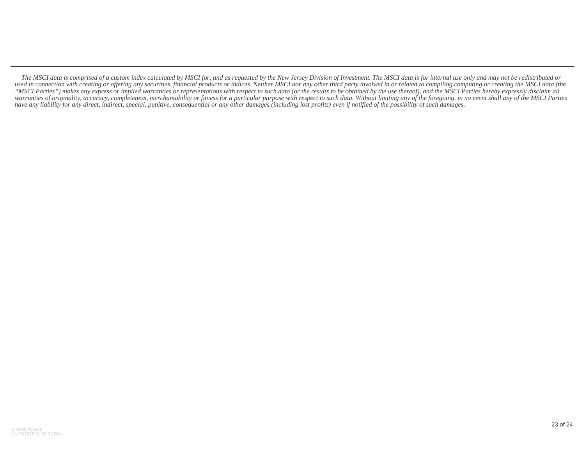*The MSCI data is comprised of a custom index calculated by MSCI for, and as requested by the New Jersey Division of Investment. The MSCI data is for internal use only and may not be redistributed or* used in connection with creating or offering any securities, financial products or indices. Neither MSCI nor any other third party involved in or related to compiling computing or creating the MSCI data (the *"MSCI Parties") makes any express or implied warranties or representations with respect to such data (or the results to be obtained by the use thereof), and the MSCI Parties hereby expressly disclaim all warranties of originality, accuracy, completeness, merchantability or fitness for a particular purpose with respect to such data. Without limiting any of the foregoing, in no event shall any of the MSCI Parties have any liability for any direct, indirect, special, punitive, consequential or any other damages (including lost profits) even if notified of the possibility of such damages.*